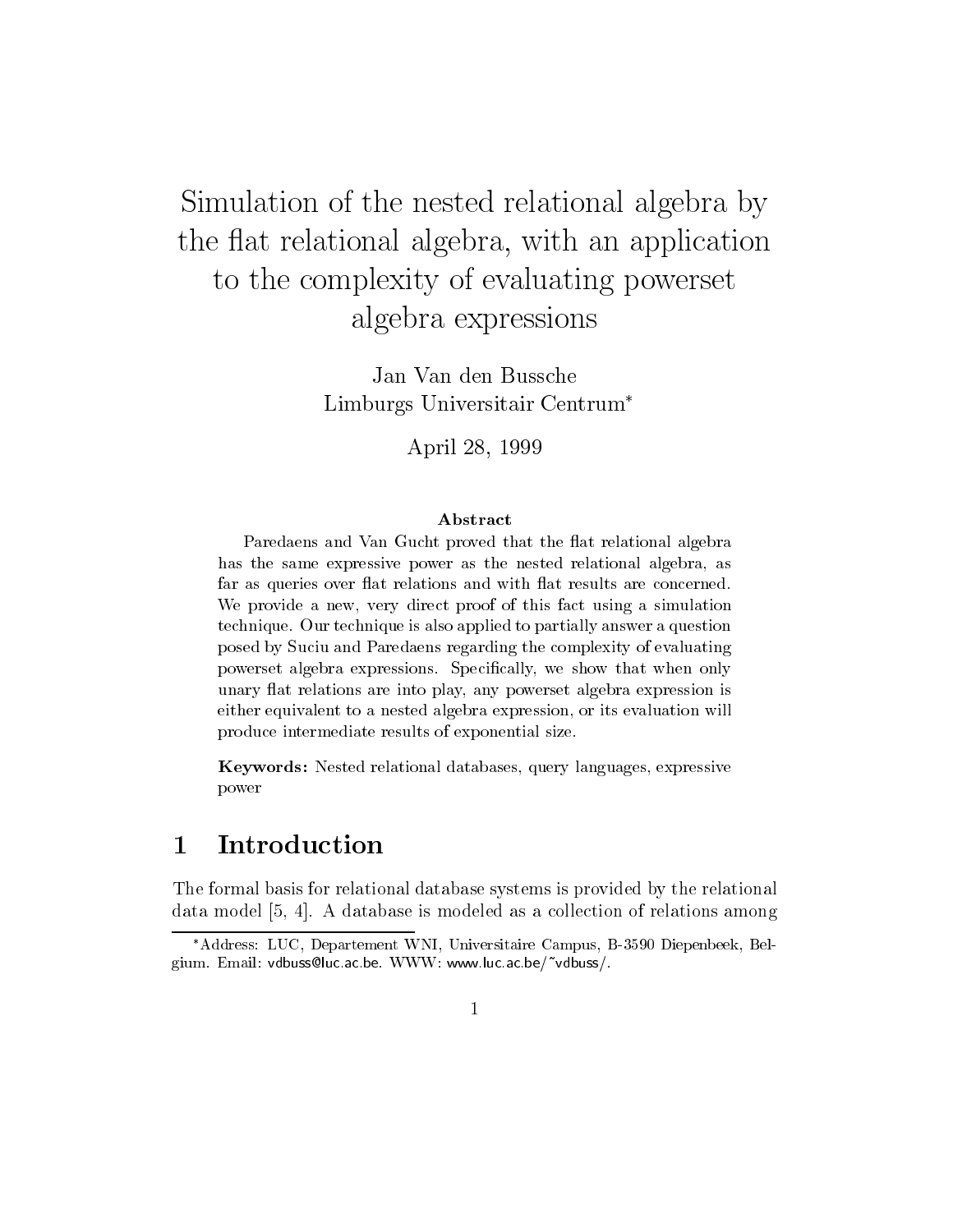# Simulation of the nested relational algebra by the at the attention and algebra with a generation with  $\alpha$  and  $\alpha$  and  $\alpha$ to the complexity of evaluating powerset algebra expressions are expressed as  $\sim$

Jan Van den Bussche Limburgs Universitair Centrum

April -

## Abstract

Paredaens and Van Gucht proved that the at relational algebra has the same expressive power as the nested relational algebra as far as queries over at relations and with at results are concerned-We provide <sup>a</sup> new very direct proof of this fact using <sup>a</sup> simulation technique- Our technique is also applied to partially answer a question posed by Suciu and Paredaens regarding the complexity of evaluatingpowerset algebra expressions-we show that we show the show that we show the show that we show the show that we unaries at relationship and into play are into play any powerset algebra expression is any powerset algebra exp either equivalent to a nested algebra expression, or its evaluation will produce intermediate results of exponential size-

Keywords: Nested relational databases, query languages, expressive power

#### 1 Introduction

The formal basis for relational database systems is provided by the relational database is model - a database is model as a collection of relations and relationship collection of relationsh

<sup>-</sup>Address: LUC, Departement WNI, Universitaire Campus, B-5590 Diepenbeek, Belgium Email van Richard Ville VI van Ville van Ville Ville Ville Ville Ville Ville Ville Ville Ville Ville Vill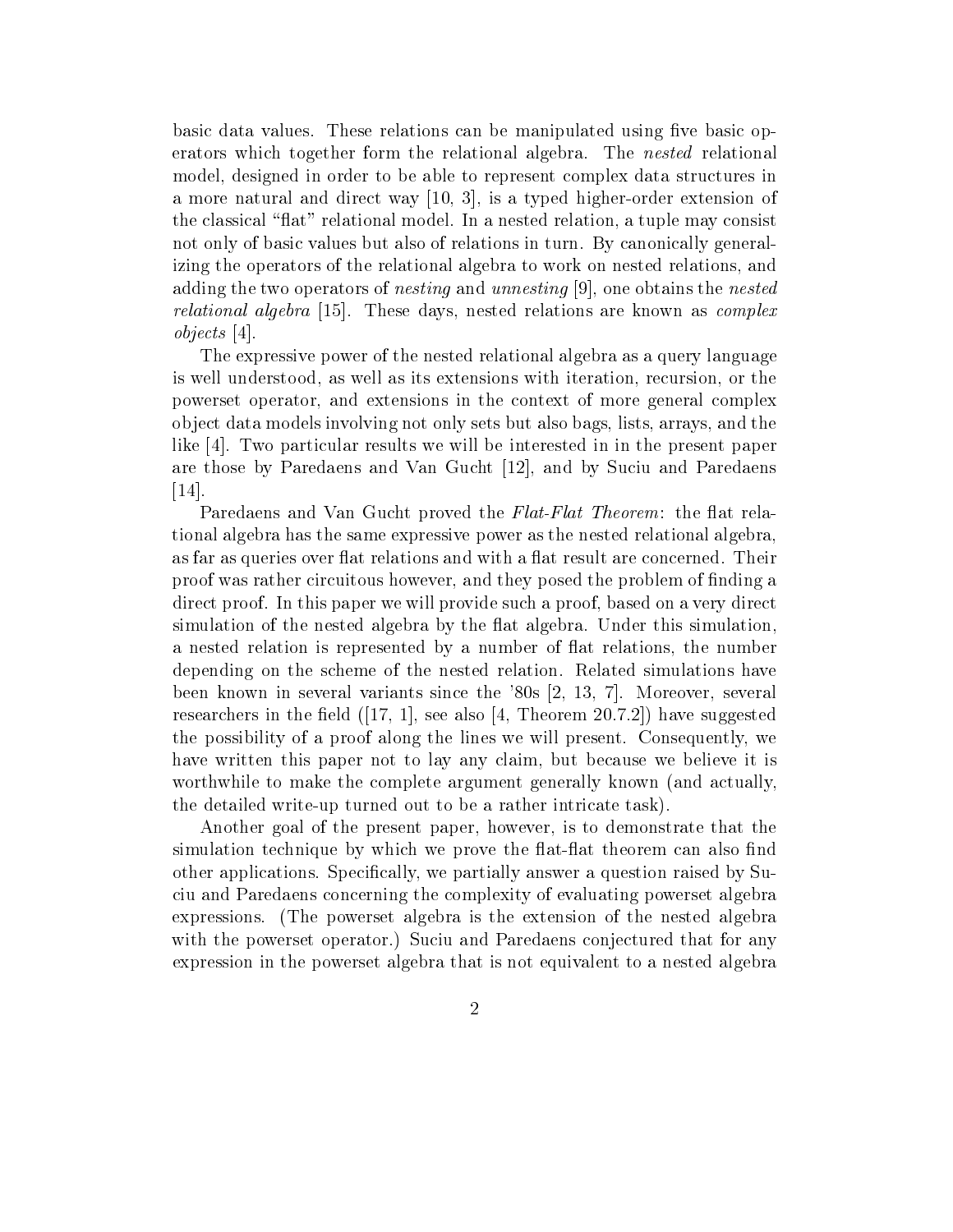basic data values. These relations can be manipulated using five basic operators which together form the relational algebra The nested relational model- designed in order to be able to represent complex data structures in a more natural and direct way  $\mathcal{L} = \mathcal{L} \setminus \{0,1\}$  , we have the second contract of the second of  $\mathcal{L}$ the classical at
relational model In a nested relation- a tuple may consist not only of basic values but also of relations in turn. By canonically generalizing the operators of the relational algebra to work on nested relations- and adding the two operators of nesting and unnesting - one obtains the nested relations algebra These days-are algebra are known as complex as complex are complex .  $objects [4]$ 

The expressive power of the nested relational algebra as a query language is well understood- as well as its extensions with iteration- recursion- or the powerset operatory was in the context of more complex of more general complexes in the complexed of more complexed of  $\alpha$ object data models involving not only sets but also bags-but also bags-but also bags-but also bags-but also ba like  $[4]$ . Two particular results we will be interested in in the present paper are those by Paredaens and Van Gucht - and Van Gucht - and Pared and Pared and Pared and Pared and Pared and P  $\vert 14 \vert$ .

Paredaens and Van Gucht proved the Flat-Flat Theorem: the flat relational algebra has the same expressive power as the nested relational algebraas far as queries over flat relations and with a flat result are concerned. Their provis was rather circuitous however-they posed they posed the problem of needed the contract of the problem of direct proof In this paper we will provide such a proof- based on a very direct simulation of the nested algebra by the flat algebra. Under this simulation, a nested relation is represented by a number of at relations- the number depending on the scheme of the nested relation. Related simulations have been known in several variants since the several variants since the several variants since the several variants researchers in the electronic processes in the electronic contracts in the electronic complete the contract of the possibility of <sup>a</sup> proof along the lines we will present Consequently- we have written this paper not to lay any claim- but because we believe it is worthwhile to make the complete argument generally known (and actually, the detailed write-up turned out to be a rather intricate task).

and the goal of the present paper-of the total of the demonstrate that the t simulation technique by which we prove the flat-flat theorem can also find other applications Specially-sections and particles in the substitution raised by Supplementary and the contract of the contract of the contract of the contract of the contract of the contract of the contract of the contra ciu and Paredaens concerning the complexity of evaluating powerset algebra expressions. (The powerset algebra is the extension of the nested algebra with the powerset operator.) Suciu and Paredaens conjectured that for any expression in the powerset algebra that is not equivalent to a nested algebra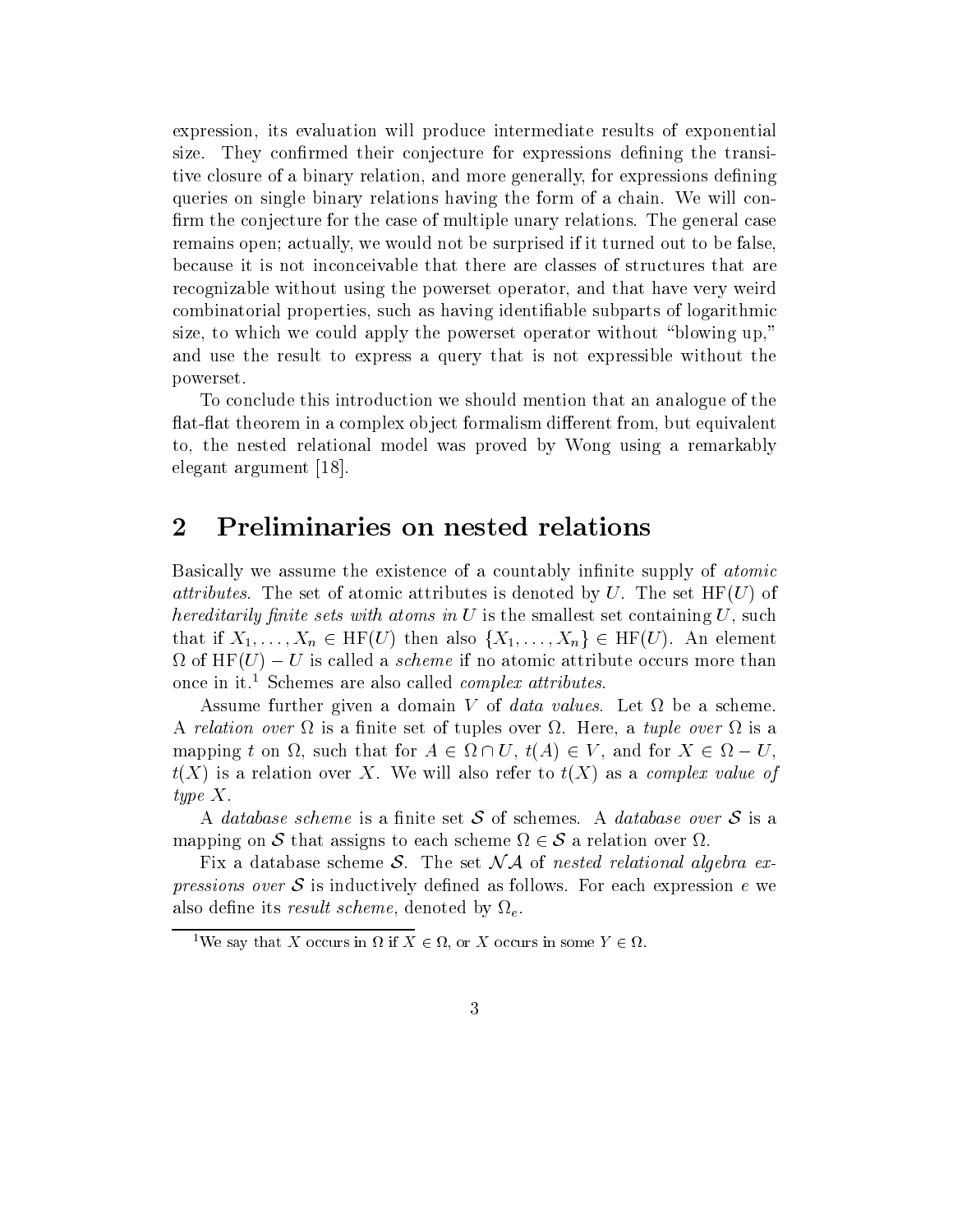expression- its evaluation will produce intermediate results of exponential size. They confirmed their conjecture for expressions defining the transitive closure of a binary relation- and more generally- for expressions dening queries on single binary relations having the form of a chain We will con firm the conjecture for the case of multiple unary relations. The general case remains open actually- we would not be surprised if it turned out to be falsebecause it is not inconceivable that there are classes of structures that are recognizable without using the powerset operator- and that have very weird combinatorial properties, a mass of many identified identified in the position of logarithmic complete  $\mathcal{L}$ size-to which we could apply the powerset operators with a could up - without blowing upand use the result to express a query that is not expressible without the powerset

To conclude this introduction we should mention that an analogue of the atat theorem in a complex object formalism dierent from- but equivalent to- the nested relational model was proved by Wong using a remarkably elegant argument

#### $\overline{2}$ Preliminaries on nested relations

Basically we assume the existence of a countably infinite supply of *atomic attributes.* The set of atomic attributes is denoted by U. The set  $HF(U)$  of hereditarily prints that with atoms in U is the smallest set containing U-P is the S that if  $X_1, \ldots, X_n \in HF(U)$  then also  $\{X_1, \ldots, X_n\} \in HF(U)$ . An element  $\Omega$  of HF(U) – U is called a *scheme* if no atomic attribute occurs more than once in it.<sup>1</sup> Schemes are also called *complex attributes*.

Assume further given a domain V of *data values*. Let  $\Omega$  be a scheme. A relation over is a nite set of tuples over Here- a tuple over is a mapping to the form of the form of the form of the form of the form of the form of the form of the form of the  $t(X)$  is a relation over X. We will also refer to  $t(X)$  as a *complex value of* type X

A database scheme is a finite set S of schemes. A database over S is a mapping on S that assigns to each scheme  $\Omega \in S$  a relation over  $\Omega$ .

Fix a database scheme S. The set  $\mathcal{N}$  as a nested relational algebra ex*pressions over* S is inductively defined as follows. For each expression e we also den een it scheme- it scheme- it scheme- it scheme- it scheme (in the scheme of the scheme of the scheme

<sup>&</sup>lt;sup>1</sup>We say that X occurs in  $\Omega$  if  $X \in \Omega$ , or X occurs in some  $Y \in \Omega$ .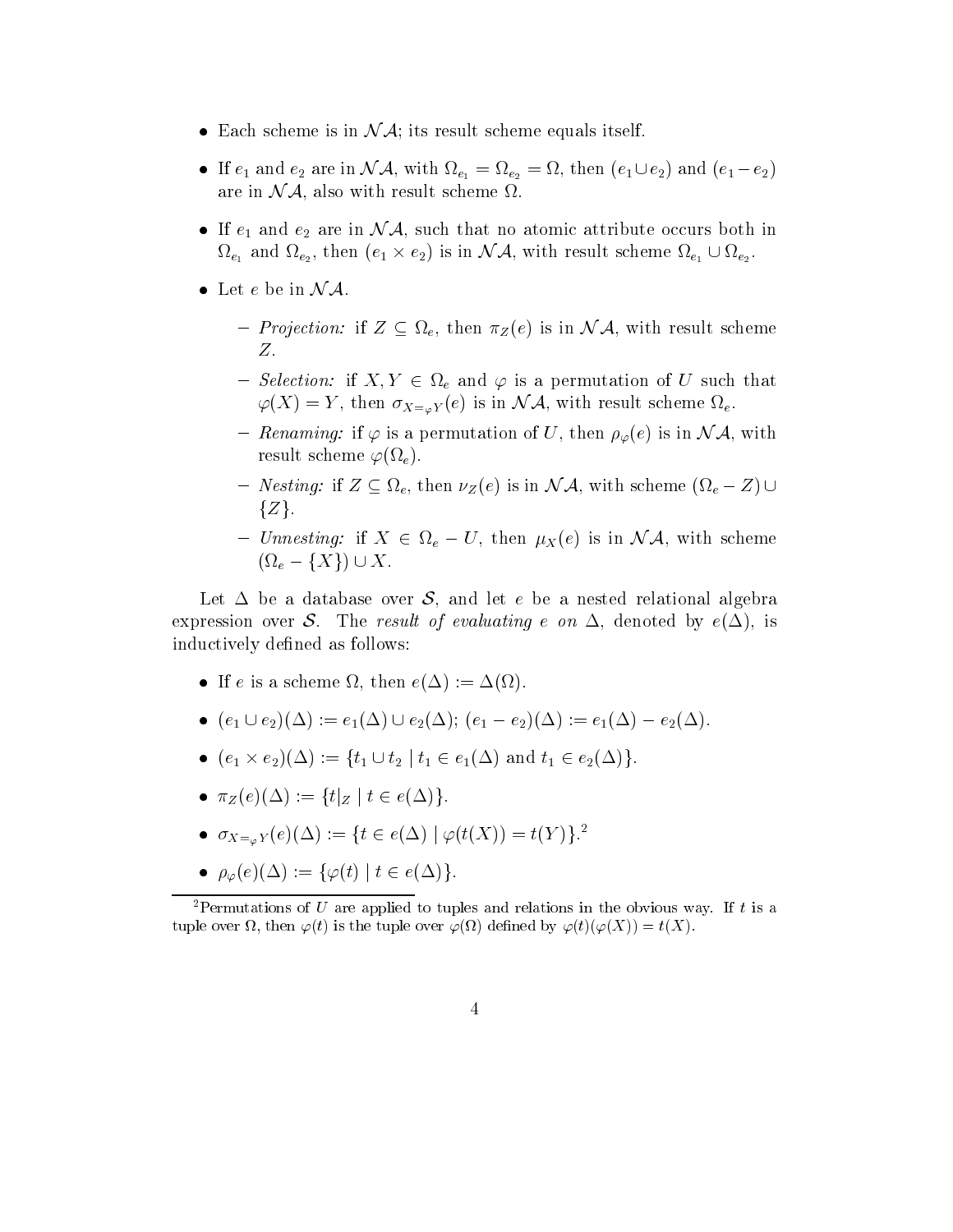- Each scheme is in  $\mathcal{N} \mathcal{A}$ ; its result scheme equals itself.
- If and example  $\begin{pmatrix} 1 & 0 & 0 \\ 0 & 0 & 0 \\ 0 & 0 & 0 \end{pmatrix}$  , and  $\begin{pmatrix} 1 & 2 \end{pmatrix}$ are in N A-1, also with result scheme in the scheme in the scheme in the scheme in the scheme in the scheme in
- If e and the such that the such that  $\mathbf{v}_1$  is extended to atomic atomic atomic atomic occurs both international e and e - then e e is in N A- with result scheme e e
- Let  $e$  be in  $\mathcal{N} \mathcal{A}$ .
	- $P$  is in the substitution-  $P$  is in the in  $\Delta$  (  $\sim$  ) can not a specific scheme contact scheme contact the substitution of  $\Delta$ Ζ.
	- Selection-the and  $\tau$  is a permutation-that the permutation of  $\tau$  is a permutation of  $\tau$  $Y$  (  $Y$  -  $Y$  ) in  $X = \varnothing$  is (  $Y$  ) in the  $Y$  is  $Y$  , then it is in the set of  $Y$  .
	- Renaming- if is a permutation of U- then e is in N A- with result scheme  $\varphi(\Omega_e)$ .
	- Nesting- if  $\equiv$  in Nesting- if  $\lambda$  is in the S equal then we have experimented in  $\lambda$  with  $\lambda$  $\{Z\}.$
	- University if  $\mathbb{P}^1 \subset \mathbb{P}^1$  expansion  $\mathbb{P}^1$  and  $\mathbb{P}^1$  and  $\mathbb{P}^1$  in  $\mathbb{P}^1$  in  $\mathbb{P}^1$  is in  $\mathbb{P}^1$  $(\Omega_e - \{X\}) \cup X.$

Let be adatabase over S- and let e be a nested relational algebra expression over S The result of evaluating examples of evaluating examples of evaluating examples of the contract of evaluating examples of the contract of the contract of the contract of the contract of the contract of th inductively defined as follows:

- If the state is a state of the state  $\mathcal{L} = \{ \ldots \}$  .
- $(e_1 \cup e_2)(\Delta) := e_1(\Delta) \cup e_2(\Delta); (e_1 e_2)(\Delta) := e_1(\Delta) e_2(\Delta).$
- $(e_1 \times e_2)(\Delta) := \{t_1 \cup t_2 \mid t_1 \in e_1(\Delta) \text{ and } t_1 \in e_2(\Delta)\}.$
- -Z e ftjZ <sup>j</sup> <sup>t</sup> eg
- $\bullet$   $\circ_{X_{\equiv_{\omega}} Y}(e)(\Delta) := \{i \in e(\Delta) \mid \varphi(i(\Delta)) = i(Y)\}$ .
- $\rho_{\varphi}(e)(\Delta) := {\varphi(t) | t \in e(\Delta)}.$

<sup>2</sup>Permutations of U are applied to tuples and relations in the obvious way. If t is a tuple over the tuple over the tuple over the tuple over the tuple over the tuple over the tuple over the tuple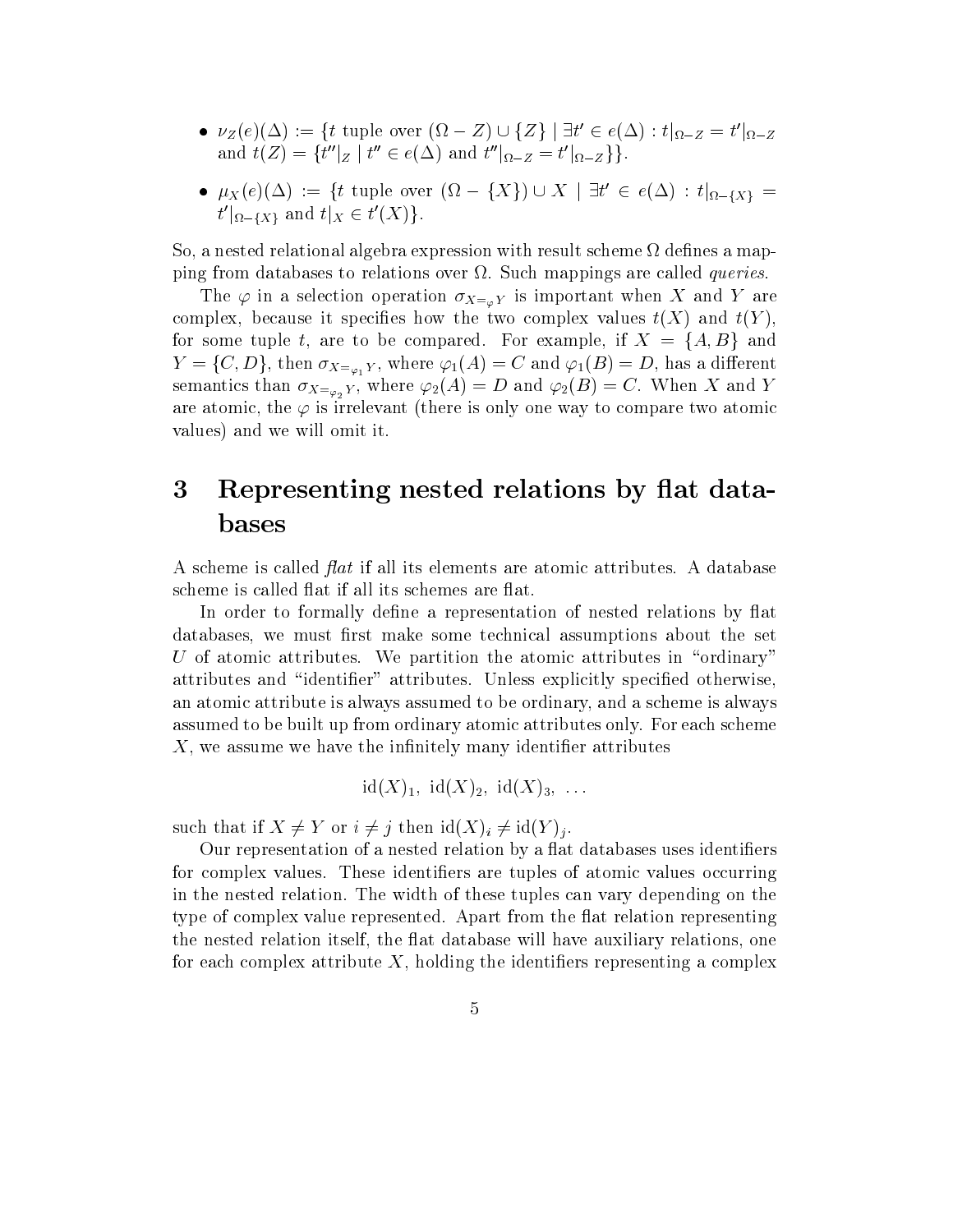- $\nu_Z(e)(\Delta) := \{ t \text{ tuple over } (\Omega Z) \cup \{ Z \} \mid \exists t' \in e(\Delta) : t|_{\Omega Z} = t' |_{\Omega Z} \}$ and  $t(Z) = \{t''|_Z \mid t'' \in e(\Delta) \text{ and } t''|_{\Omega - Z} = t'|_{\Omega - Z}\}\}.$
- $\mu_X(e)(\Delta) := \{ t \text{ tuple over } (\Omega \{X\}) \cup X \mid \exists t' \in e(\Delta) : t|_{\Omega \{X\}} = 0 \}$  $t' |_{\Omega - \{X\}}$  and  $t |_{X} \in t'(X)$ .

so a nested relational algebra expression with result scheme in the map in material algebra expression with results ping from databases to relations over  $\Omega$ . Such mappings are called *queries*.

The  $\bm{r}$  is in a selection operation operation  $\bm{\Lambda} = \bm{\phi} \bm{I}$  is interpretation of the selection of the  $\bm{\Lambda}$ complex-because it species how the two complex values to the two complex values to the two complex values to t for a family to be compared for the compared for the compared for the company of  $\mathcal{A}$  and  $\mathcal{A}$  $\Gamma$  (f) and  $\Lambda = \varphi_1$  is a different and  $\Gamma$  is a different and  $\Gamma$  is a different and  $\Gamma$  is a different and  $\Gamma$ semantics than  $X = \varphi_2 Y$  , where  $Y Z (\neg Y)$  are and  $Y Z (\neg Y)$  , where  $Y Z$  and  $Y Z$ are atomically the post-compare is included the state  $\mu$  and  $\mu$  at  $\mu$  at  $\mu$  at  $\mu$  at  $\mu$ values) and we will omit it.

## 3 Representing nested relations by flat databases

A scheme is called  $\beta$  flat if all its elements are atomic attributes. A database scheme is called flat if all its schemes are flat.

In order to formally define a representation of nested relations by flat databases- we must return that the set make some technical assumptions assumptions about the set of the set of U of atomic attributes. We partition the atomic attributes in "ordinary" attributes and "identifier" attributes. Unless explicitly specified otherwise. and attribute is the state is always assumed to be ordinary- and and a scheme is always and a scheme is always assumed to be built up from ordinary atomic attributes only. For each scheme X- we assume we have the innitely many identier attributes

$$
id(X)_1
$$
,  $id(X)_2$ ,  $id(X)_3$ , ...

such that if  $X \neq Y$  or  $i \neq j$  then  $\mathrm{id}(X)_i \neq \mathrm{id}(Y)_j$ .

Our representation of a nested relation by a flat databases uses identifiers for complex values. These identifiers are tuples of atomic values occurring in the nested relation. The width of these tuples can vary depending on the type of complex value represented. Apart from the flat relation representing the nested relation itself- the at database will have auxiliary relations- one for each complex attribute X- holding the identiers representing a complex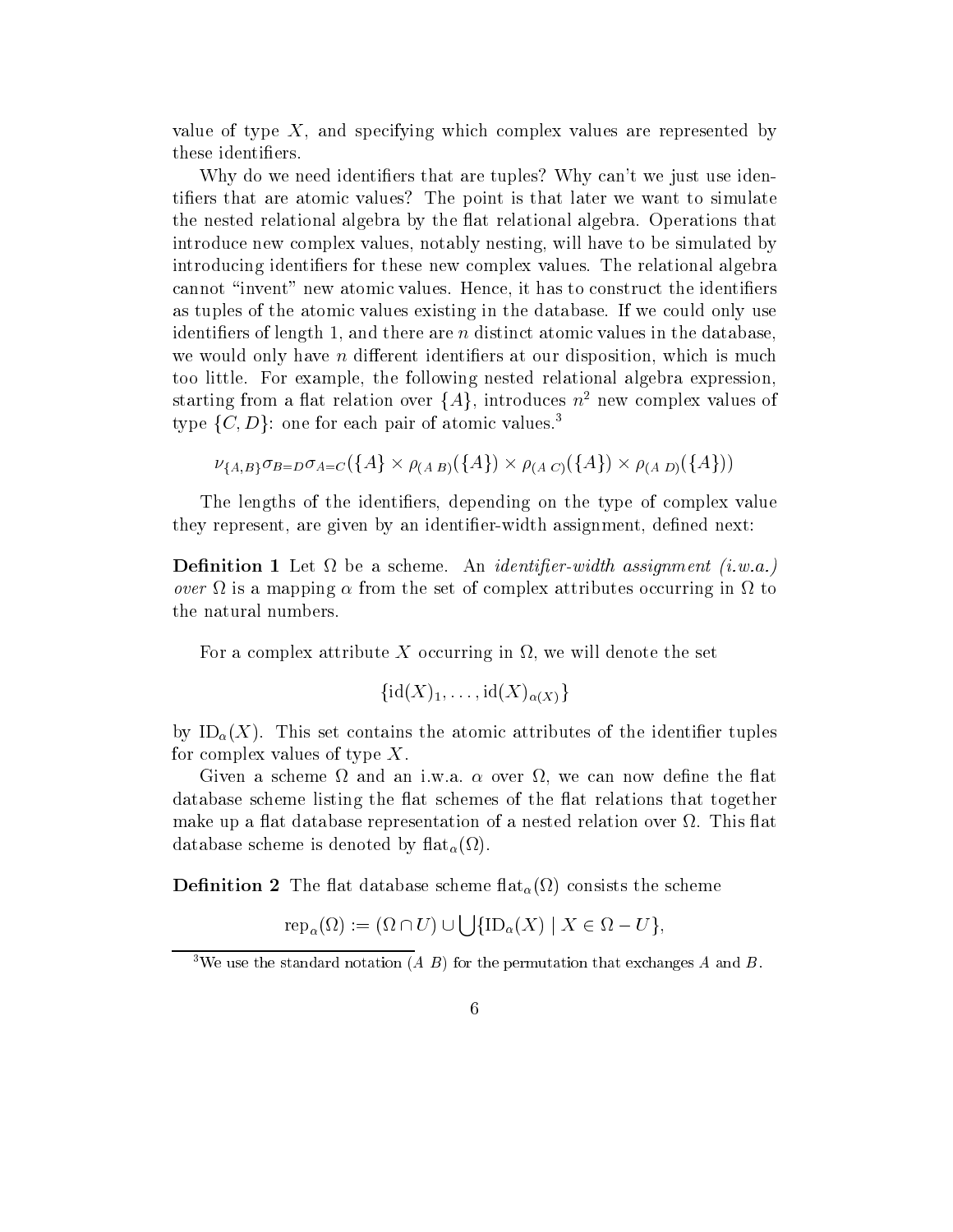value of type X-rand specific which complex values are represented by the specific which complex values are represented by the specific which complex values are represented by the specific which complex values of the speci these identifiers.

Why do we need identifiers that are tuples? Why can't we just use identifiers that are atomic values? The point is that later we want to simulate the nested relational algebra by the flat relational algebra. Operations that introduce new complex values- notably nesting- will have to be simulated by introducing identifiers for these new complex values. The relational algebra cannot inventor inventor inventor inventor inventor inventor in the identity of the identity of the identification as tuples of the atomic values existing in the database If we could only use identiers of length - and there are n distinct atomic values in the databasewe would not a different in disposition at our disposition in the disposition of the output of the second contract too little For example- the following nested relational algebra expressionstarting from a nat relation over  $\{A\}$ , introduces  $n^-$  new complex values of type  $\{C, D\}$ : one for each pair of atomic values.<sup>3</sup>

$$
\nu_{\{A,B\}} \sigma_{B=D} \sigma_{A=C} (\{A\} \times \rho_{(A|B)} (\{A\}) \times \rho_{(A|C)} (\{A\}) \times \rho_{(A|D)} (\{A\}))
$$

The lengths of the identification of the theory are the type of complex value  $\sim$ they represent- are given by an identification of the state of the state of the state of the state of the state of the state of the state of the state of the state of the state of the state of the state of the state of the

— Let be a scheme An identifiable assignment in the second intervals in the state  $\mu$ over  $\Omega$  is a mapping  $\alpha$  from the set of complex attributes occurring in  $\Omega$  to the natural numbers

For a complex attribute X occurring in - we will denote the set

$$
\{{\rm id}(X)_1,\ldots,{\rm id}(X)_{\alpha(X)}\}
$$

by ID-  $\mu$  (  $\mu$  ) is the atomic atomic atomic atomic tuples of the identical tuples of the identity of the identical tuples of the identical tuples of the identical tuples of the identical tuples of the identical tuple for complex values of type  $X$ .

given a scheme at now we consider the can not come that it well and the the database scheme listing the flat schemes of the flat relations that together make up a flat database representation of a nested relation over  $\Omega$ . This flat database scheme is denoted by the contract of  $\mathcal{U}$ 

 $\blacksquare$  consistent  $\blacksquare$  at database scheme scheme scheme  $\{t_i\}$  , a scheme scheme scheme scheme scheme scheme

$$
\operatorname{rep}_{\alpha}(\Omega) := (\Omega \cap U) \cup \bigcup \{\text{ID}_{\alpha}(X) \mid X \in \Omega - U\},\
$$

we use the standard notation (A  $\,$  D ) for the permutation that exchanges A and B.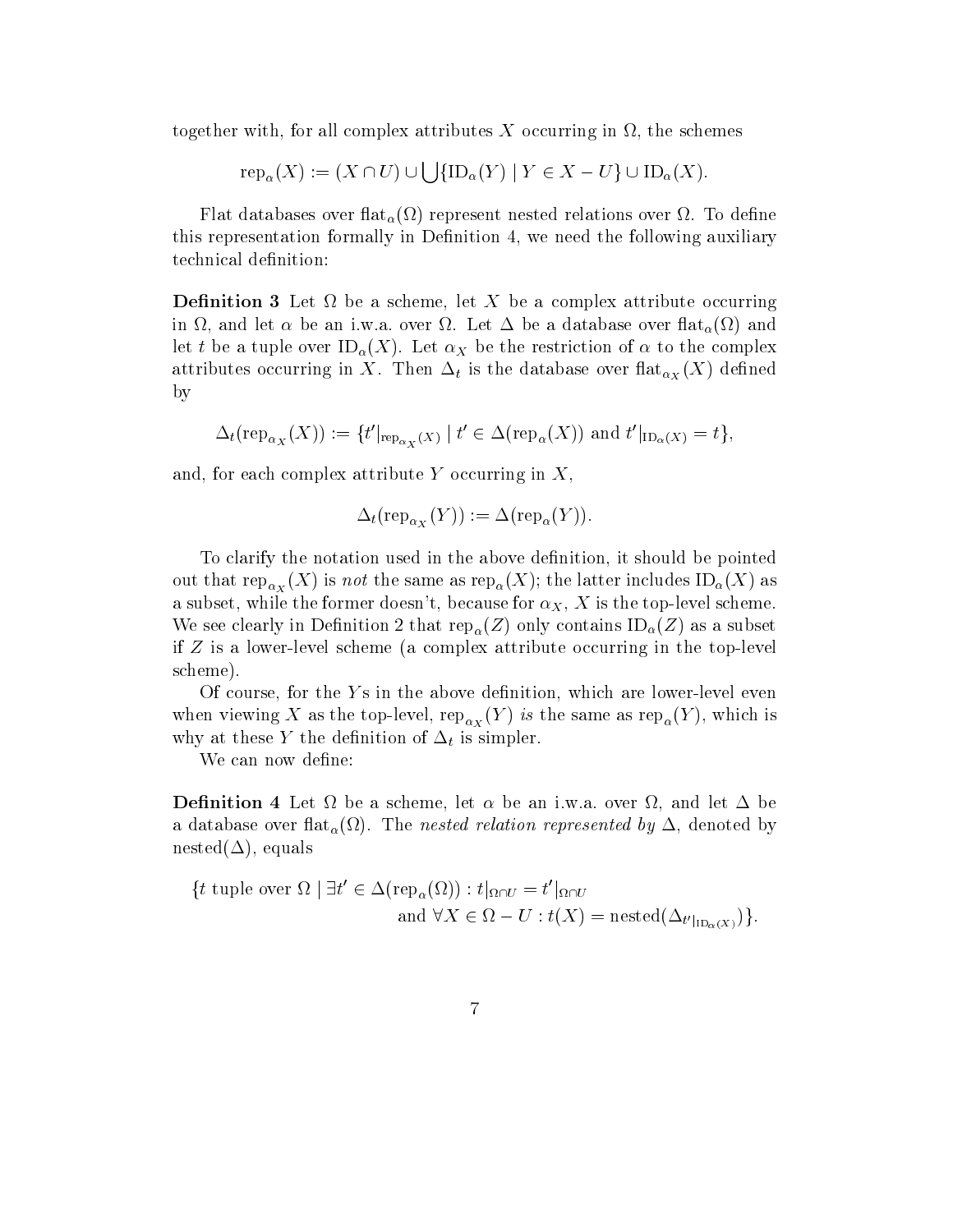to all complex attributes  $\mathbf{f}$  occurring in  $\mathbf{f}$  occurring in  $\mathbf{f}$  occurring in  $\mathbf{f}$  occurring in  $\mathbf{f}$  occurring in  $\mathbf{f}$  occurring in  $\mathbf{f}$  or  $\mathbf{f}$  or  $\mathbf{f}$  occurring in  $\mathbf{f}$  or  $\mathbf{$ 

$$
rep_{\alpha}(X) := (X \cap U) \cup \bigcup \{ ID_{\alpha}(Y) \mid Y \in X - U \} \cup ID_{\alpha}(X).
$$

Flat databases over at- represent nested relations over To dene this representation formally in Denition - we need the following auxiliary technical definition:

Denition Let be a scheme- let X be a complex attribute occurring in - , was a database over Let be a database over Let be and the and the second  $\mu$  , and a let the and tuplet over  $\alpha$  and  $\alpha$  is the restriction of the restriction of the complex of  $\alpha$  $\alpha$  at the data base of  $\alpha$   $\chi$  ( ) by

$$
\Delta_t(\operatorname{rep}_{\alpha_X}(X)) := \{ t'|_{\operatorname{rep}_{\alpha_X}(X)} \mid t' \in \Delta(\operatorname{rep}_{\alpha}(X)) \text{ and } t'|_{\operatorname{ID}_{\alpha}(X)} = t \},
$$

and and the complex attribute  $\alpha$  occurring in X-1 occurring in X-1 occurring in X-1 occurring in X-1 occurring in X-1 occurring in X-1 occurring in X-1 occurring in X-1 occurring in X-1 occurring in X-1 occurring in X-1

$$
\Delta_t(\operatorname{rep}_{\alpha_X}(Y)):=\Delta(\operatorname{rep}_\alpha(Y)).
$$

To clarify the notation used in the above denition- it should be pointed out that replaces in the same assessment in  $\mathbf{r}_\alpha$  (i.e.), the latter includes  $\alpha$  (i.e.) as and the former doesnt-toplevel scheme for  $\Lambda$  is the top lattice former doesnt-toplevel scheme for  $\Lambda$ where the contact  $\mathcal{L}$  is denoted the contact of  $\mathbf{r}$  on  $\mathcal{U}(-)$  contains in  $\mathcal{U}(-)$  and the measure if  $Z$  is a lower-level scheme (a complex attribute occurring in the top-level scheme

Of course- for the Y s in the above denition- which are lowerlevel even when viewing  $\mathbf{r}$  as rep-same as rep-same as rep-same as rep-same as rep-same as rep-same as rep-same as rep-same as  $\mathbf{r}$ why at these Y the definition of  $\Delta_t$  is simpler.

We can now define:

Denition Let be a scheme- let bean iwa over - and let be and the nested relation represented by  $\mathcal{A}$  and  $\mathcal{A}$ neste en la construcción de la construcción de la construcción de la construcción de la construcción de la con

$$
\{t \text{ tuple over } \Omega \mid \exists t' \in \Delta(\text{rep}_{\alpha}(\Omega)) : t|_{\Omega \cap U} = t'|_{\Omega \cap U}
$$
  
and  $\forall X \in \Omega - U : t(X) = \text{nested}(\Delta_{t'|_{\text{ID}_{\alpha}(X)}})\}.$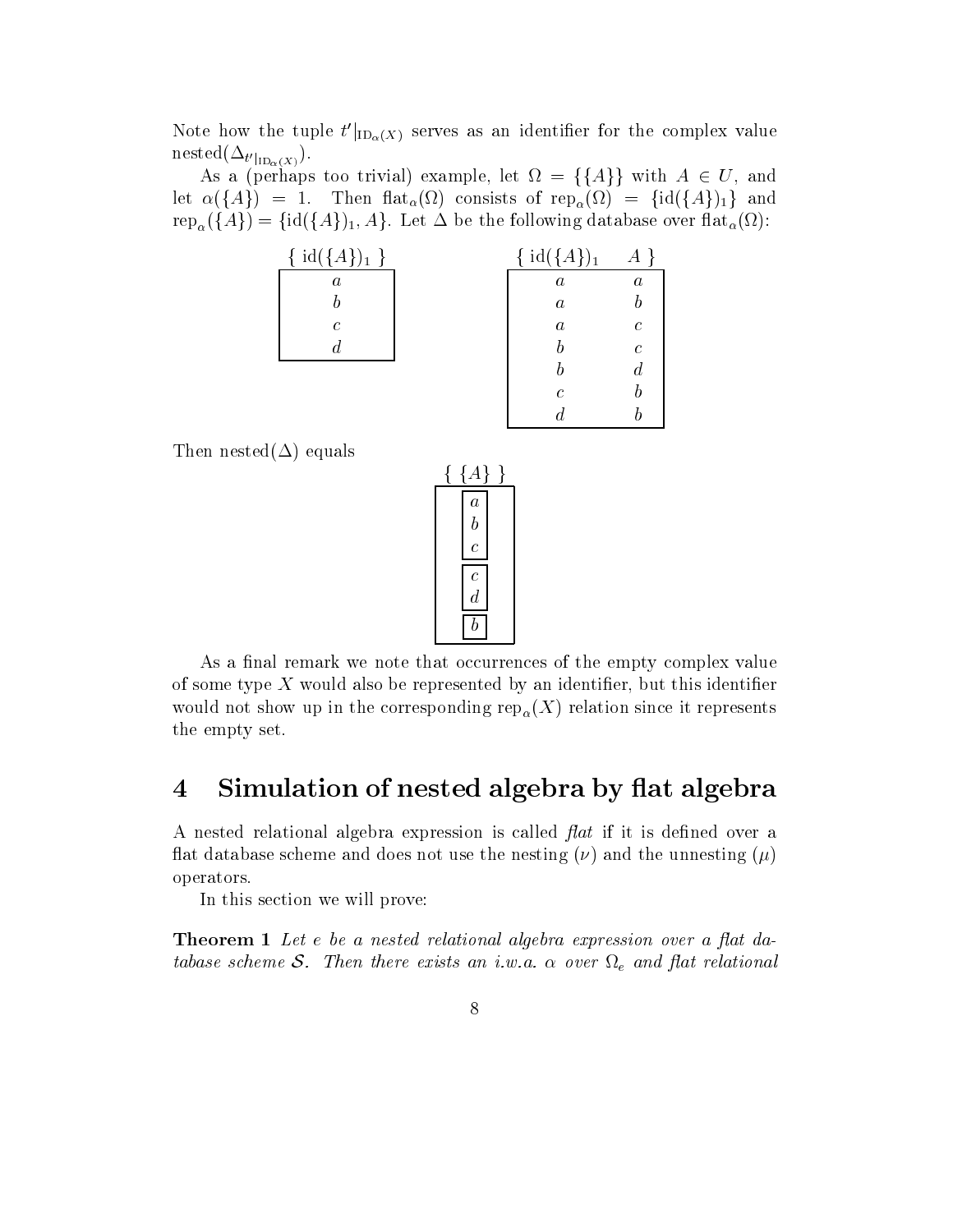Note how the tuple  $t'|_{\text{ID}_\alpha(X)}$  serves as an identifier for the complex value  ${\rm mes}_{{\mathcal{U}}}\left(\Delta_{t'}\right|_{{\rm ID}_{\alpha}(X)}).$ 

as a periodic too trivial examples of the periodic property of  $\mathcal{A}$ let fAg Then at- consists of rep- fidfAgg and  $\Gamma$  and  $\Gamma$  are the following database over  $\alpha$  and  $\alpha$ 

| { $id({A})_1$ }  | $id({A})_1$      | $A \}$           |
|------------------|------------------|------------------|
| $\boldsymbol{a}$ | $\boldsymbol{a}$ | $\boldsymbol{a}$ |
|                  | $\boldsymbol{a}$ |                  |
| $\mathcal C$     | $\boldsymbol{a}$ | $\epsilon$       |
|                  |                  | $\epsilon$       |
|                  |                  | $\it{d}$         |
|                  | $\mathcal{C}$    |                  |
|                  |                  |                  |

Then nested  $(\Delta)$  equals

| $\{A\}$                                   |  |  |
|-------------------------------------------|--|--|
|                                           |  |  |
| $\begin{matrix} a \\ b \\ c \end{matrix}$ |  |  |
|                                           |  |  |
|                                           |  |  |
| $\frac{c}{d}$                             |  |  |
| $\it b$                                   |  |  |

As a final remark we note that occurrences of the empty complex value of some type X would also be represented by also be represented by an identity of the some contract of the second where it represents it represents it represents in the corresponding represents in the corresponding  $r$ the empty set

### $\overline{\mathbf{4}}$ Simulation of nested algebra by flat algebra

A nested relational algebra expression is called  $\beta$  at if it is defined over a flat database scheme and does not use the nesting  $(\nu)$  and the unnesting  $(\mu)$ operators

In this section we will prove

Theorem - Let ebe a nested relationship and algebra expression over a new angle algebra expression over a at d tabase scheme S. Then there exists an i.w.a.  $\alpha$  over  $\Omega_e$  and flat relational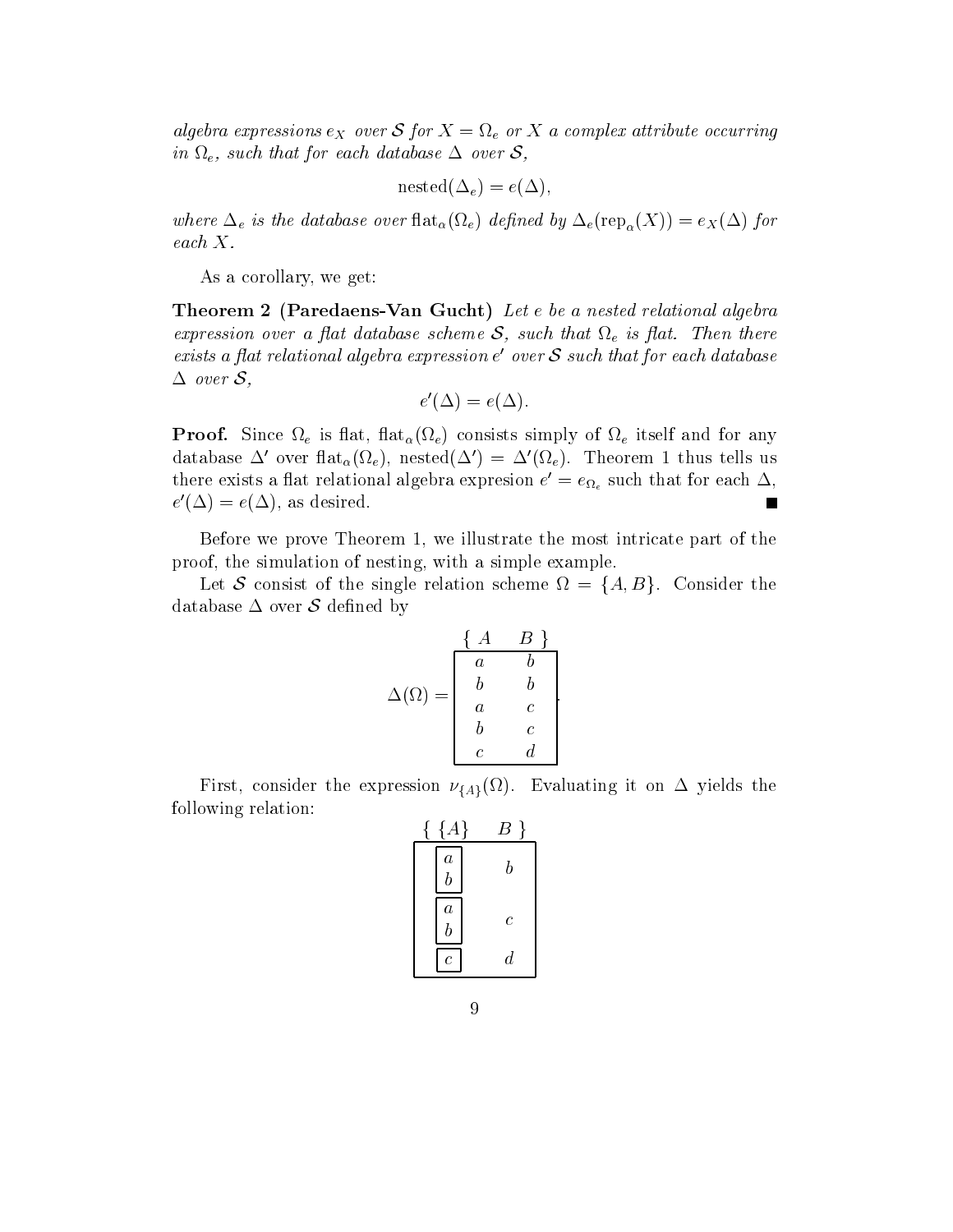algebra expressions  $e_X$  over S for  $X = \Omega_e$  or X a complex attribute occurring in  $\Omega_e$ , such that for each database  $\Delta$  over  $\mathcal{S}$ ,

$$
\text{nested}(\Delta_e) = e(\Delta),
$$

 $\mathbb{C}$  is the database over  $\mathbb{C}$  over  $\mathbb{C}$  and  $\mathbb{C}$  for  $\mathbb{C}$  and  $\mathbb{C}$  and  $\mathbb{C}$  and  $\mathbb{C}$  and  $\mathbb{C}$  and  $\mathbb{C}$  and  $\mathbb{C}$  and  $\mathbb{C}$  and  $\mathbb{C}$  and  $\mathbb{C}$  and  $\mathbb{C}$  and  $\mathbb{C}$ each X

a corollary-corollary-corollary-

**Theorem 2 (Paredaens-Van Gucht)** Let  $e$  be a nested relational algebra expression over a flat database scheme S, such that  $\Omega_e$  is flat. Then there exists a flat relational algebra expression  $e'$  over  $S$  such that for each database  $\Delta$  over  $S$ ,

$$
e'(\Delta) = e(\Delta).
$$

 $\tau$  and the simply of entropy entropy is the internal simply of the its simply entropy  $\tau$ database  $\Delta'$  over  $\text{flat}_{\alpha}(\Omega_e)$ , nested $(\Delta') = \Delta'(\Omega_e)$ . Theorem 1 thus tells us there exists a flat relational algebra expresion  $e' = e_{\Omega_e}$  such that for each  $\Delta$ ,  $e'(\Delta) = e(\Delta)$ , as desired.

Before we prove Theorem - we illustrate the most intricate part of the proof-simulation of nesting-the simulation of nesting-the simulation of  $\mathbb{R}^n$ 

Let S consist of the single relation scheme  $\Omega = \{A, B\}$ . Consider the database  $\Delta$  over S defined by

$$
\Delta(\Omega) = \begin{bmatrix} \begin{array}{cc} \{A & B\} \\ a & b \\ b & b \\ a & c \\ b & c \\ c & d \end{array} \end{bmatrix}.
$$

the contract of the contract of the contract of the contract of the contract of

First, consider the expression  $\nu_{\{A\}}(w)$ . Evaluating it on  $\Delta$  yields the following relation:

| ${A}$                         | В       |  |
|-------------------------------|---------|--|
| $\boldsymbol{a}$<br>$\bar{b}$ |         |  |
| $\boldsymbol{a}$<br>$\bar{b}$ | $\,c\,$ |  |
| $\overline{c}$                | d       |  |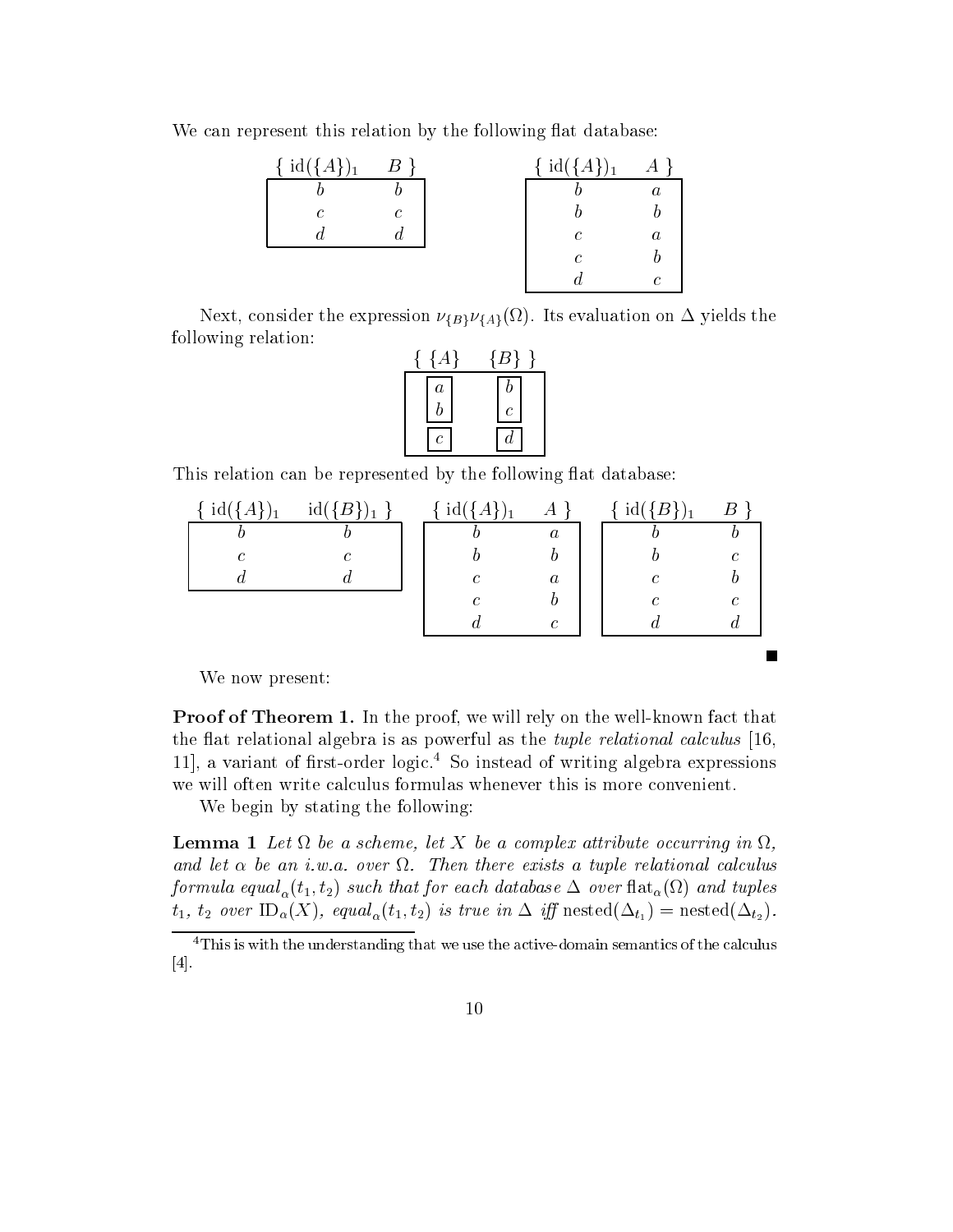We can represent this relation by the following flat database:

| { $id({A})_1$ | $\boldsymbol{B}$ | { $id({A})_1$ | А                |  |
|---------------|------------------|---------------|------------------|--|
|               |                  |               | $\it a$          |  |
| C             | C                |               |                  |  |
|               | J.               | $\mathcal C$  | $\boldsymbol{a}$ |  |
|               |                  | C             |                  |  |
|               |                  |               | C                |  |

Next, consider the expression  $\nu_{\{B\}}\nu_{\{A\}}(x)$ . Its evaluation on  $\Delta$  yields the following relation

|         | $\{B\}$ |  |
|---------|---------|--|
| $\it a$ |         |  |
|         | ſ.      |  |
|         |         |  |

This relation can be represented by the following flat database:

| 1d(        | $id({B}$<br>$\mathbf{1}$ | $id({A})$<br>$\mathbf{1}$ | A                | $id({B}$ |   |  |
|------------|--------------------------|---------------------------|------------------|----------|---|--|
| D          |                          |                           | $\boldsymbol{a}$ |          |   |  |
| $\epsilon$ | C                        |                           |                  |          | r |  |
| u          |                          | C                         | $\boldsymbol{a}$ | С        |   |  |
|            |                          |                           |                  | C        | r |  |
|            |                          | а                         | $\epsilon$       |          |   |  |

 $\blacksquare$ 

We now present

 $\blacksquare$  roof of  $\blacksquare$  means the proof, we will rely on the well had will receive that the flat relational algebra is as powerful as the *tuple relational calculus*  $[16,$ - a variant of rstorder logic So instead of writing algebra expressions we will often write calculus formulas whenever this is more convenient

We begin by stating the following

— Let be a scheme let be a scheme let be a complex attribute occurring in Let  $\mathcal{L}$ and let  $\alpha$  be an i.w.a. over  $\Omega$ . Then there exists a tuple relational calculus  $f$  to the such that formula t that for each database  $\tau$  and the such that for each database  $\tau$  $\frac{1}{2}$  and  $\frac{1}{2}$  are  $\frac{1}{2}$  and  $\frac{1}{2}$  are  $\frac{1}{2}$  and  $\frac{1}{2}$  and  $\frac{1}{2}$ 

This is with the understanding that we use the active-domain semantics of the calculus  $[4]$ .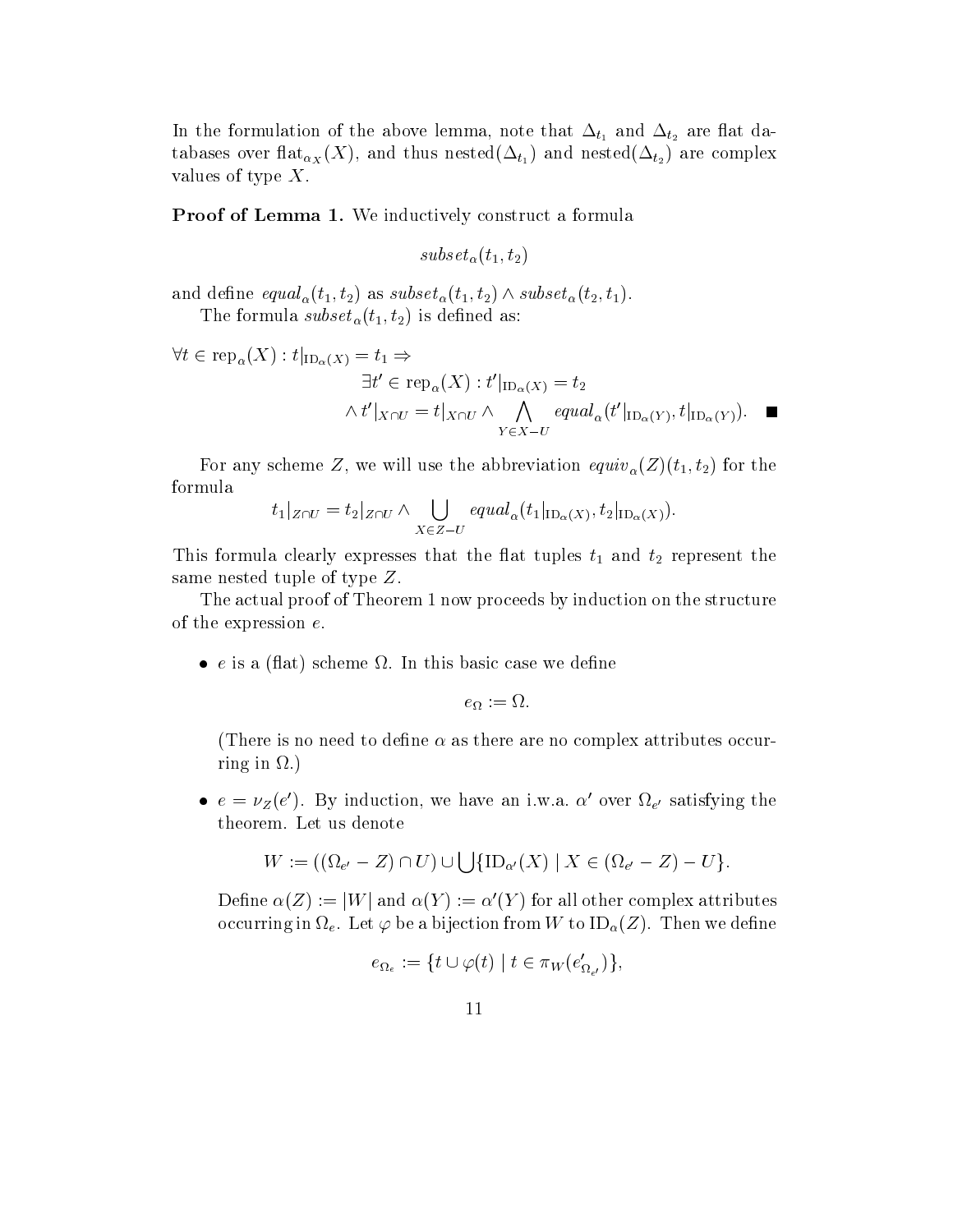In the formulation of the above lemma-  $\mathfrak{b}_1$  , and the are  $\mathfrak{b}_2$ table is the set of  $\alpha_X$  (i.e.), the strategies in  $(\pm i_1)$  , then there are  $(\pm i_2)$  , then it complexes values of type  $X$ .

Proof of Lemma - We inductively construct a formula

subset to the  $\alpha$  subset of  $\alpha$ 

 $\mathbf{u} \times \mathbf{u} \times \mathbf{v}$  to  $\mathbf{u} \times \mathbf{v}$  to  $\mathbf{u} \times \mathbf{v}$ 

The formula subset -t t is dened as

$$
\forall t \in \text{rep}_{\alpha}(X) : t|_{\text{ID}_{\alpha}(X)} = t_1 \Rightarrow
$$
  
\n
$$
\exists t' \in \text{rep}_{\alpha}(X) : t'|_{\text{ID}_{\alpha}(X)} = t_2
$$
  
\n
$$
\wedge t'|_{X \cap U} = t|_{X \cap U} \wedge \bigwedge_{Y \in X - U} equal_{\alpha}(t'|_{\text{ID}_{\alpha}(Y)}, t|_{\text{ID}_{\alpha}(Y)}).
$$

 $\mathcal{L}$  and  $\mathcal{L}$  are will use the abbreviation equivariant  $\mathcal{L}$  to the abbreviation equivariant  $\mathcal{L}$ formula

$$
t_1|_{Z\cap U}=t_2|_{Z\cap U}\wedge \bigcup_{X\in Z-U}equal_\alpha(t_1|_{\text{ID}_\alpha(X)},t_2|_{\text{ID}_\alpha(X)}).
$$

This formula clearly expresses that the flat tuples  $t_1$  and  $t_2$  represent the same nested tuple of type Z

The actual proof of Theorem 1 now proceeds by induction on the structure of the expression  $e$ .

• e is a (flat) scheme  $\Omega$ . In this basic case we define

$$
e_{\Omega} := \Omega.
$$

(There is no need to define  $\alpha$  as there are no complex attributes occurring in  $\Omega$ .)

•  $e = \nu_Z(e')$ . By induction, we have an i.w.a.  $\alpha'$  over  $\Omega_{e'}$  satisfying the theorem. Let us denote

$$
W:=((\Omega_{e'}-Z)\cap U)\cup\bigcup\{\mathrm{ID}_{\alpha'}(X)\mid X\in(\Omega_{e'}-Z)-U\}.
$$

Define  $\alpha(Z) := |W|$  and  $\alpha(Y) := \alpha'(Y)$  for all other complex attributes occurring in each compact of the anti-structure from W to ID-1 and W to ID-1 and W to ID-1 and W to ID-1 and W

$$
e_{\Omega_e}:=\{t\cup\varphi(t)\mid t\in\pi_W(e'_{\Omega_{e'}})\},
$$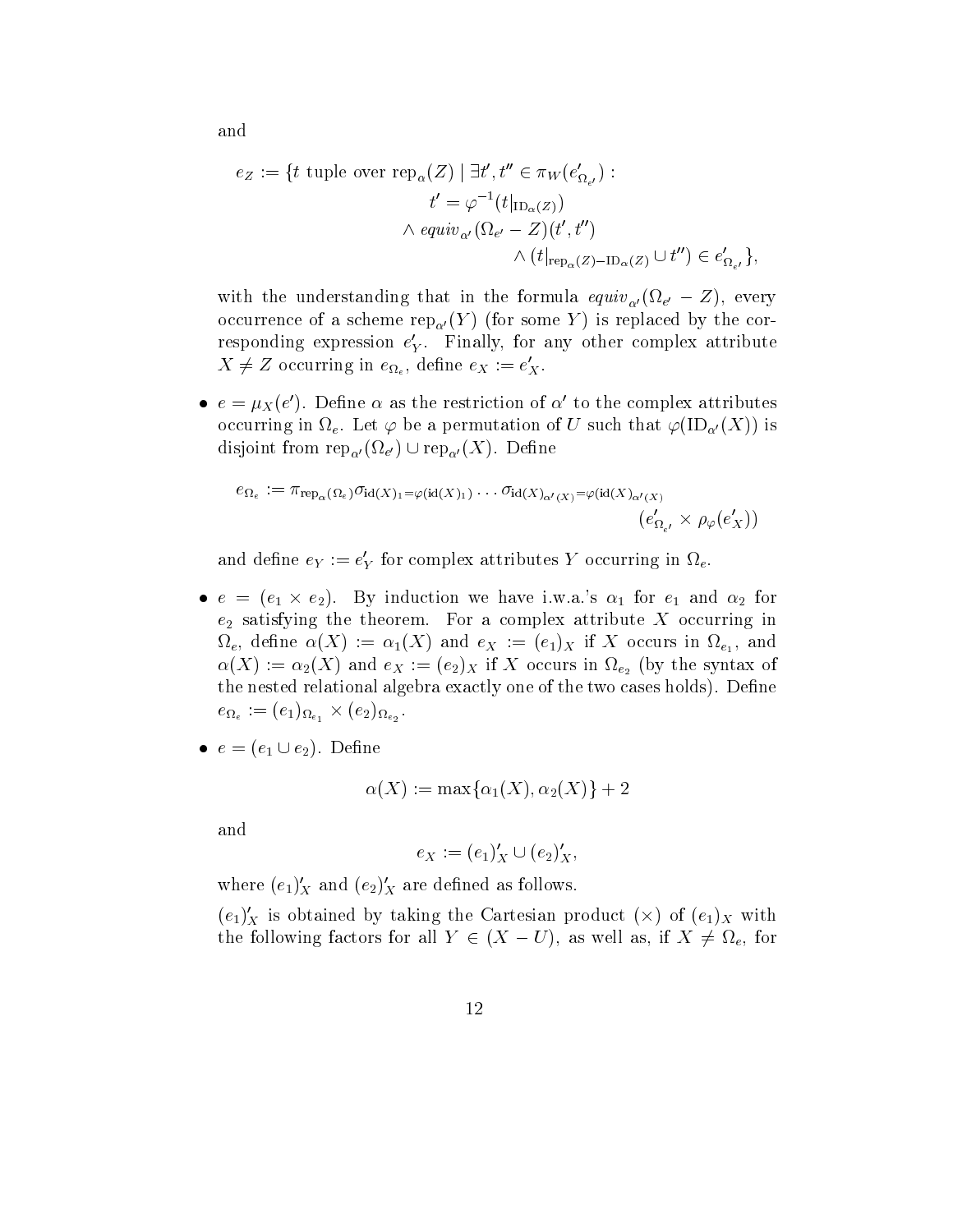$e_Z := \{ t \text{ tuple over } \text{rep}_\alpha(Z) \mid \exists t', t'' \in \pi_W(e'_{\Omega_{e'}}): \}$  $t' = \varphi^{-1}(t|_{\mathrm{ID}_{\alpha}(Z)})$  $\wedge$  equiv<sub>o'</sub>  $(\Omega_{e'} - Z)(t', t'')$  $\wedge (t|_{\textrm{rep}_\alpha(Z)-\textrm{ID}_\alpha(Z)}\cup t'')\in e'_{\Omega_{e'}}\},$ 

with the understanding that in the formula equiv $\alpha$  (i.e.  $\epsilon$  ), every occurrence of a scheme representation of a scheme  $Y$  is representation of a scheme  $Y$  is replaced by the corresponding  $Y$ responding expression  $e'_Y$ . Finally, for any other complex attribute  $X \neq Z$  occurring in  $e_{\Omega_e}$ , define  $e_X := e'_X$ .

 $e = \mu_X(e')$ . Define  $\alpha$  as the restriction of  $\alpha'$  to the complex attributes occurring in e Let be a permutation of U such that ID- X is disjoint from rep $\alpha'$  (rep-  $\alpha'$  (rep-  $\alpha'$ ). Example

$$
e_{\Omega_{\epsilon}} := \pi_{\mathrm{rep}_{\alpha}}(\Omega_{\epsilon}) \sigma_{\mathrm{id}(X)_1 = \varphi(\mathrm{id}(X)_1) \cdots \sigma_{\mathrm{id}(X)_{\alpha'(X)} = \varphi(\mathrm{id}(X)_{\alpha'(X)} \atop (e'_{\Omega_{\epsilon'}} \times \rho_{\varphi}(e'_X))
$$

and define  $e_Y := e'_Y$  for complex attributes Y occurring in  $\Omega_e$ .

•  $e = (e_1 \times e_2)$ . By induction we have i.w.a.'s  $\alpha_1$  for  $e_1$  and  $\alpha_2$  for  $e_2$  satisfying the theorem. For a complex attribute X occurring in ergy contract the set of  $\Gamma$  and  $\Gamma$  and  $\Gamma$  and  $\Gamma$  and  $\Gamma$  and  $\Gamma$  and  $\Gamma$  and  $\Gamma$  and  $\Gamma$  and  $\Gamma$  and  $\Gamma$  and  $\Gamma$  and  $\Gamma$  and  $\Gamma$  and  $\Gamma$  and  $\Gamma$  and  $\Gamma$  and  $\Gamma$  and  $\Gamma$  and  $\Gamma$  and  $\Gamma$  and  $\Gamma$  an  $\alpha(X) := \alpha_2(X)$  and  $e_X := (e_2)_X$  if X occurs in  $\Omega_{e_2}$  (by the syntax of the nested relational algebra exactly one of the two cases holds). Define  $e$   $\sqrt{1/4}ee$   $\sqrt{2/4}ee$ 

 $e = (e_1 \cup e_2)$ . Define

$$
\alpha(X):=\max\{\alpha_1(X),\alpha_2(X)\}+2
$$

and

$$
e_X := (e_1)'_X \cup (e_2)'_X,
$$

where  $(e_1)'_X$  and  $(e_2)'_X$  are defined as follows.

 $(e_1)'_X$  is obtained by taking the Cartesian product  $(\times)$  of  $(e_1)_X$  with the following factors for all  $\alpha$  if  $\alpha$  if  $\alpha$  if  $\alpha$  if  $\alpha$  if  $\alpha$  if  $\alpha$  if  $\alpha$  if  $\alpha$  if  $\alpha$  if  $\alpha$  if  $\alpha$  if  $\alpha$  if  $\alpha$  if  $\alpha$  if  $\alpha$  if  $\alpha$  if  $\alpha$  if  $\alpha$  if  $\alpha$  if  $\alpha$  if  $\alpha$  if  $\alpha$  if  $\alpha$  if

and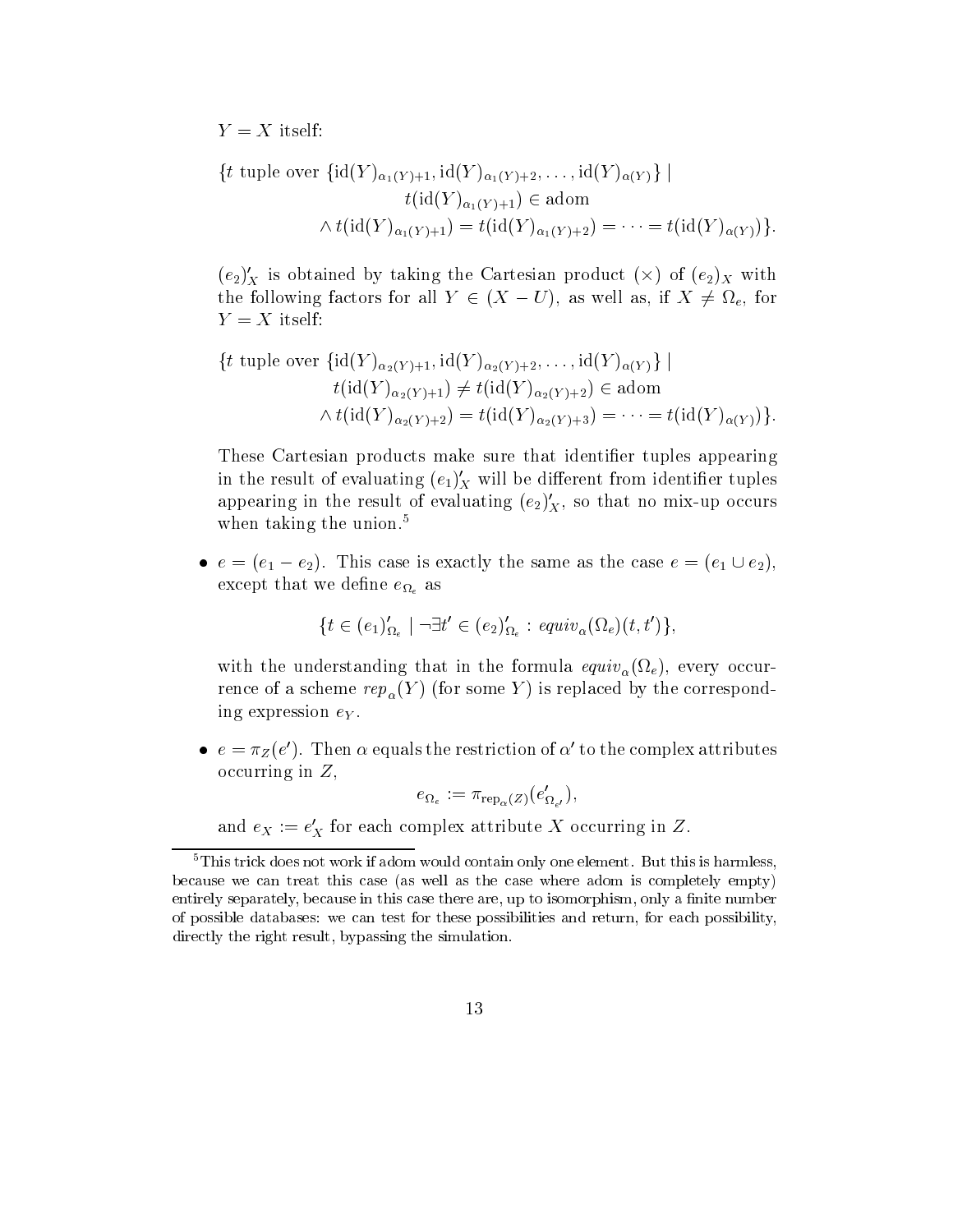$Y = X$  itself:

$$
\{t \text{ tuple over } \{id(Y)_{\alpha_1(Y)+1}, id(Y)_{\alpha_1(Y)+2}, \dots, id(Y)_{\alpha(Y)}\} \mid
$$

$$
t(id(Y)_{\alpha_1(Y)+1}) \in \text{adom}
$$

$$
\wedge t(id(Y)_{\alpha_1(Y)+1}) = t(id(Y)_{\alpha_1(Y)+2}) = \dots = t(id(Y)_{\alpha(Y)})\}.
$$

 $(e_2)'_X$  is obtained by taking the Cartesian product  $(\times)$  of  $(e_2)_X$  with the following following for all  $\alpha$   $\alpha$   $\beta$  and if  $\alpha$  if  $\alpha$  if  $\alpha$  if  $\alpha$  as well as well as well associated that  $\alpha$  $Y = X$  itself:

$$
\{t \text{ tuple over } \{id(Y)_{\alpha_2(Y)+1}, id(Y)_{\alpha_2(Y)+2}, \dots, id(Y)_{\alpha(Y)}\} \mid
$$
  
\n
$$
t(id(Y)_{\alpha_2(Y)+1}) \neq t(id(Y)_{\alpha_2(Y)+2}) \in \text{adom}
$$
  
\n
$$
\wedge t(id(Y)_{\alpha_2(Y)+2}) = t(id(Y)_{\alpha_2(Y)+3}) = \dots = t(id(Y)_{\alpha(Y)})\}.
$$

These Cartesian products make sure that identifier tuples appearing in the result of evaluating  $(e_1)'_X$  will be different from identifier tuples appearing in the result of evaluating  $(e_2)'_X$ , so that no mix-up occurs when taking the union.<sup>5</sup>

•  $e = (e_1 - e_2)$ . This case is exactly the same as the case  $e = (e_1 \cup e_2)$ , except that we define  $e_{\Omega_e}$  as

$$
\{t \in (e_1)'_{\Omega_e} \mid \neg \exists t' \in (e_2)'_{\Omega_e} : \, \text{equiv}_\alpha(\Omega_e)(t, t')\},\
$$

with the understanding that in the formula equivariant in the formula equivariant in the formula equivariant in  $\mathbf{r}$ rence of a scheme rep- $r$   $\alpha$  (  $\rightarrow$  ) (see some  $\rightarrow$  ) as replaced by the corresponding  $r$ ing expression  $e_Y$ .

 $e = \pi_Z(e')$ . Then  $\alpha$  equals the restriction of  $\alpha'$  to the complex attributes occurring in  $Z$ ,

$$
e_{\Omega_e} := \pi_{\text{rep}_{\alpha}(Z)}(e'_{\Omega_{e'}}),
$$

and  $e_X := e'_X$  for each complex attribute X occurring in Z.

 $5$ This trick does not work if adom would contain only one element. But this is harmless, because we can treat this case (as well as the case where adom is completely empty) entirely separately, because in this case there are, up to isomorphism, only a finite number of possible databases we can test for these possibilities and return for each possibility directly the right result, bypassing the simulation.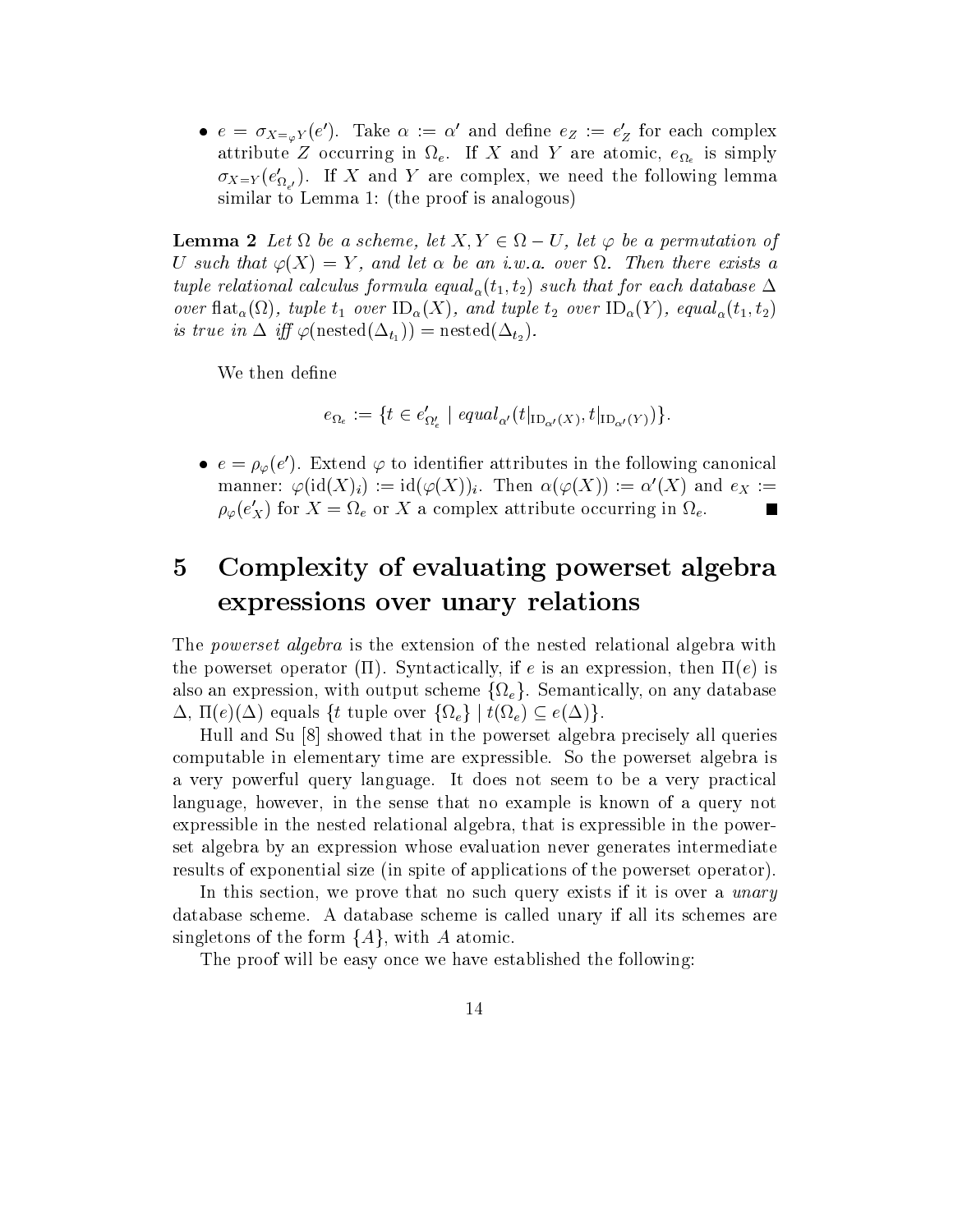•  $e = \sigma_{X = \varphi} Y(e')$ . Take  $\alpha := \alpha'$  and define  $e_Z := e'_Z$  for each complex attribute  $\Delta$  occurring in the  $\Delta$  or at  $\Delta$  and  $\Delta$  and  $\Delta$  are atomic,  $\Delta$  and  $\Delta$  $\sigma_{X=Y}(e'_{\Omega_{e'}})$ . If X and Y are complex, we need the following lemma similar to Lemma 1: (the proof is analogous)

**Lemma 2** Let  $\Omega$  be a scheme, let  $X, Y \in \Omega - U$ , let  $\varphi$  be a permutation of U such that  $\varphi(X) = Y$ , and let  $\alpha$  be an i.w.a. over  $\Omega$ . Then there exists a tuple relational calculus formula equal  $t$  to  $t$  that for each database  $t$  that for each database  $t$  $\tau$  and tuple the set of the set  $\tau$  and the set of  $\tau$  and the  $\tau$  and  $\tau$  and  $\tau$ is true in  $\Delta$  iff  $\varphi(\text{nested}(\Delta_{t_1})) = \text{nested}(\Delta_{t_2}).$ 

We then define

$$
e_{\Omega_e} := \{ t \in e'_{\Omega'_e} \mid \; equal_{\alpha'}(t|_{\mathrm{ID}_{\alpha'}(X)}, t|_{\mathrm{ID}_{\alpha'}(Y)}) \}.
$$

 $e = \rho_{\varphi}(e')$ . Extend  $\varphi$  to identifier attributes in the following canonical manner:  $\varphi(\mathrm{id}(X)_i) := \mathrm{id}(\varphi(X))_i$ . Then  $\alpha(\varphi(X)) := \alpha'(X)$  and  $e_X :=$  $\rho_{\varphi}(e'_{X})$  for  $X = \Omega_{e}$  or X a complex attribute occurring in  $\Omega_{e}$ .

## $\overline{5}$  Complexity of evaluating powerset algebra expressions over unary relations

The *powerset algebra* is the extension of the nested relational algebra with the powerset operators (se). Of extractionally-set of the inpression- the issue  $\sim$ also an expression-text with the feature feature feature feature feature feature feature feature feature featu - e equals ft tuple over feg j te eg

Hull and Su [8] showed that in the powerset algebra precisely all queries computable in elementary time are expressible. So the powerset algebra is a very powerful query language It does not seem to be a very practical language- however- in the sense that no example is known of a query not expressible in the nested relational algebra- that is expressible in the power set algebra by an expression whose evaluation never generates intermediate results of exponential size (in spite of applications of the powerset operator).

In this section- we prove that no such query exists if it is over a unary database scheme. A database scheme is called unary if all its schemes are singletons of the form fAg-

The proof will be easy once we have established the following: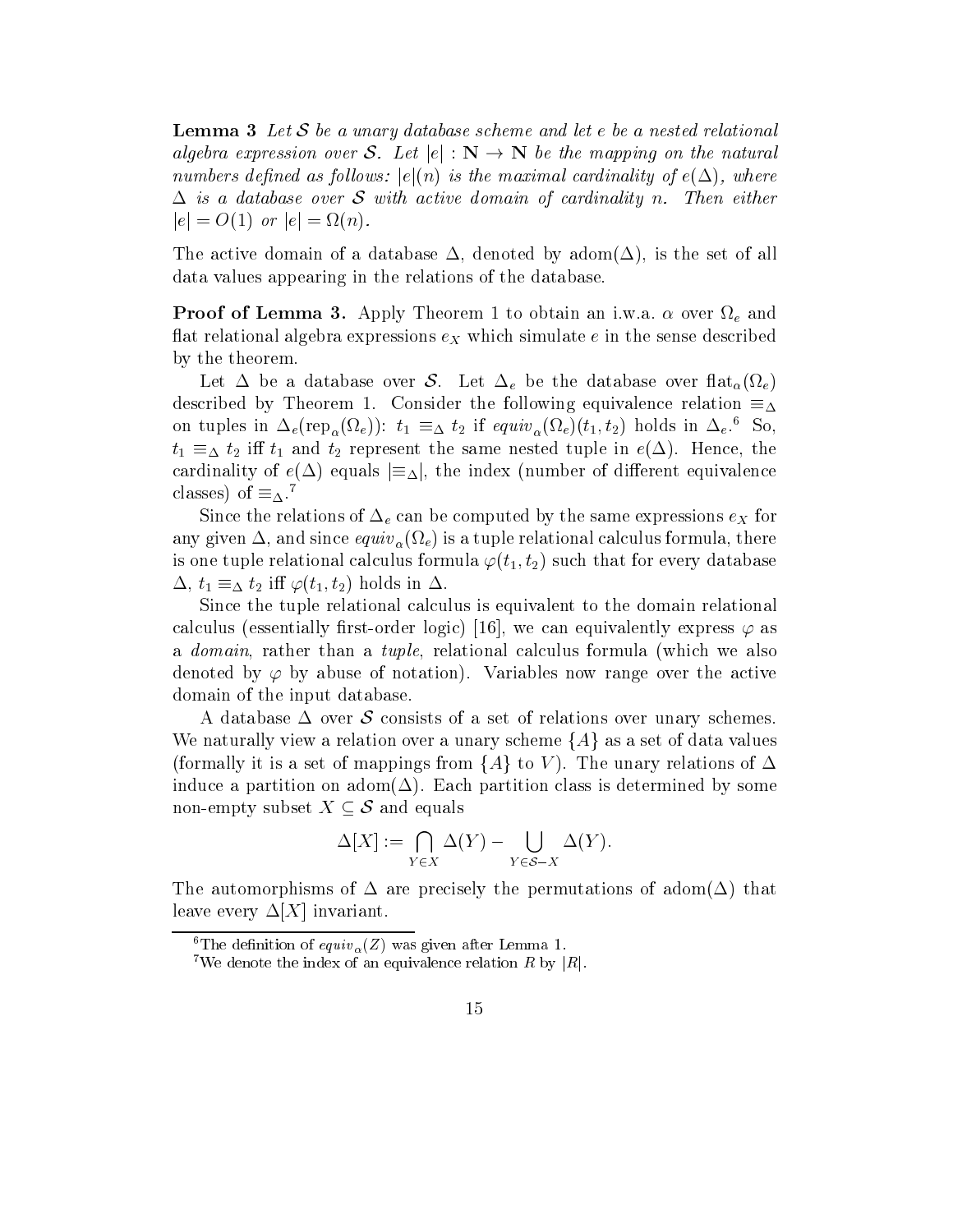**Lemma 3** Let S be a unary database scheme and let e be a nested relational algebra expression over S. Let  $|e| : N \to N$  be the mapping on the natural numbers den den das folken is the maximal cardinality of the maximal cardinality of the maximal cardinality of  $\Delta$  is a database over S with active domain of cardinality n. Then either  $|e| = O(1)$  or  $|e| = \Omega(n)$ .

The active domain of a database - denoted by adom-denoted by adom-denoted by adom-denoted by adom-denoted by a data values appearing in the relations of the database

**Proof of Lemma 3.** Apply Theorem 1 to obtain an i.w.a.  $\alpha$  over  $\Omega_e$  and flat relational algebra expressions  $e<sub>X</sub>$  which simulate e in the sense described by the theorem

 $\sim$  2001  $\sim$  2001  $\sim$  2001  $\sim$  2011  $\sim$  2012  $\sim$  2012  $\sim$  2012  $\sim$  2012  $\sim$  2012  $\sim$  2012  $\sim$  2012  $\sim$  2012  $\sim$  2012  $\sim$  2012  $\sim$  2012  $\sim$  2012  $\sim$  2012  $\sim$  2012  $\sim$  2012  $\sim$  2012  $\sim$  2012  $\sim$  2012 described by Theorem 1. Consider the following equivalence relation  $\equiv_{\Delta}$ on tuples in  $\Delta_e(\text{rep}_\alpha(\Omega_e))$ :  $t_1 = \Delta t_2$  if  $equiv_\alpha(\Omega_e)(t_1, t_2)$  holds in  $\Delta_e$ . 50, t is the same that the same nested the same nested to the same need to the same of the same of the same of the cardinality of e equals j j- the index number of dierent equivalence classes  $\mu$  of  $\mu$ .

Since the relations of  $\Delta_e$  can be computed by the same expressions  $e_X$  for and since equivalent calculus formula  $\{V\}$  and since  $\{V\}$  for a tuple relation calculus formula-measure  $\gamma$  . There is is one tuple relational calculus formula  $\varphi(t_1, t_2)$  such that for every database - t t i t t holds in

Since the tuple relational calculus is equivalent to the domain relational calculus essentially result in the logic  $\mu$  and the calculus express  $\mu$  as  $\mu$  and  $\mu$ a domain- rather than a tuple- relational calculus formula which we also denoted by  $\varphi$  by abuse of notation). Variables now range over the active domain of the input database

A database  $\Delta$  over S consists of a set of relations over unary schemes. We naturally view a relation over a unary scheme  $\{A\}$  as a set of data values (formally it is a set of mappings from  $\{A\}$  to V). The unary relations of  $\Delta$ induce a partition on adom $(\Delta)$ . Each partition class is determined by some non-empty subset  $X \subseteq \mathcal{S}$  and equals

$$
\Delta[X] := \bigcap_{Y \in X} \Delta(Y) - \bigcup_{Y \in \mathcal{S} - X} \Delta(Y).
$$

The automorphisms of  $\Delta$  are precisely the permutations of adom( $\Delta$ ) that leave every  $\Delta[X]$  invariant.

The denition of  $equiv_{\alpha}(Z)$  was given after Lemma 1.

<sup>&</sup>lt;sup>7</sup>We denote the index of an equivalence relation R by |R|.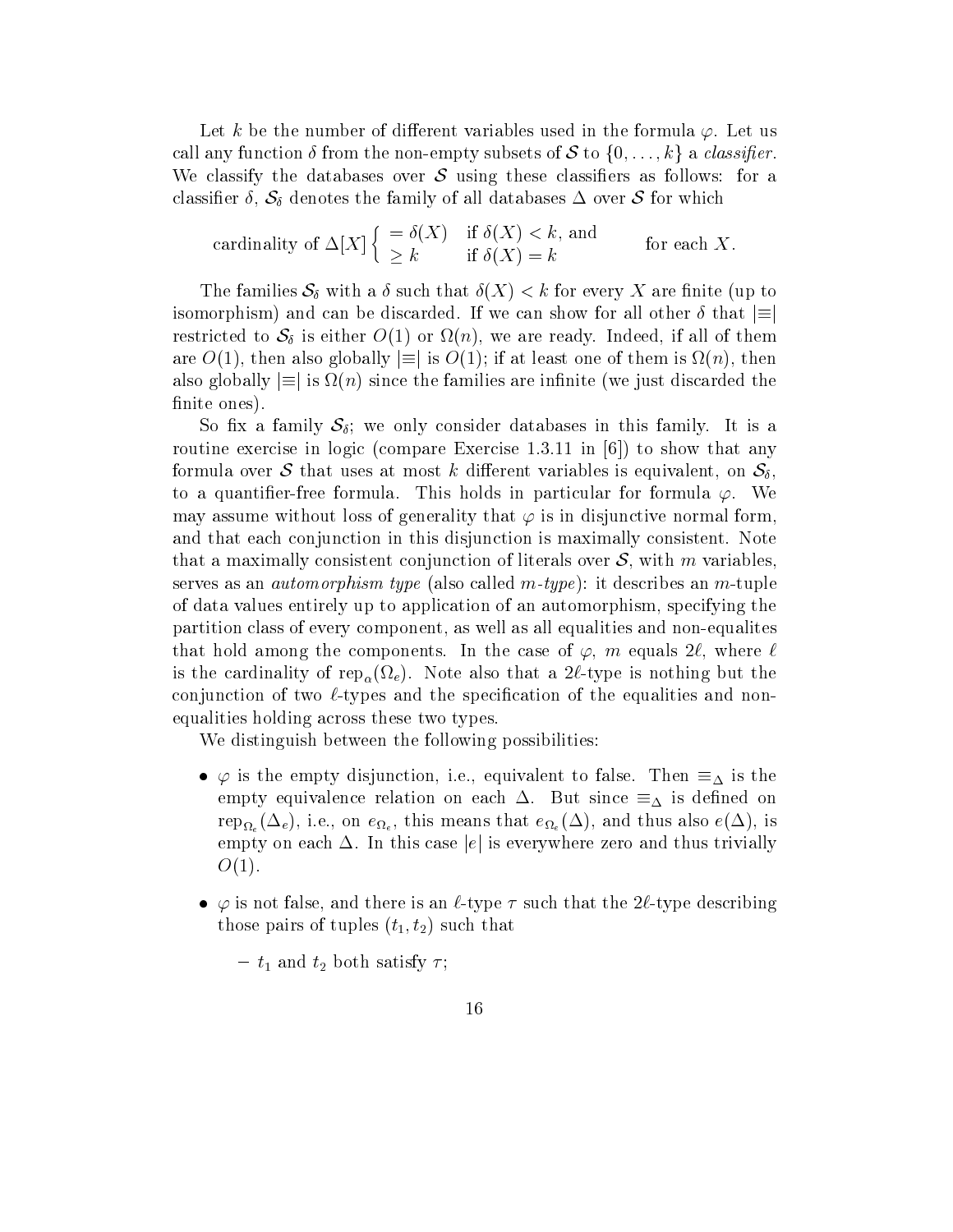Let k be the number of different variables used in the formula  $\varphi$ . Let us call any function  $\delta$  from the non-empty subsets of S to  $\{0, \ldots, k\}$  a *classifier*. We classify the databases over  $\mathcal S$  using these classifiers as follows: for a construction  $\cdot$  ,  $\bullet$   $0$  denotes the family of all databases of  $\bullet$  for  $\bullet$  for  $\bullet$  for  $\bullet$ 

cardinality of 
$$
\Delta[X] \begin{cases} = \delta(X) & \text{if } \delta(X) < k \text{, and} \\ \geq k & \text{if } \delta(X) = k \end{cases}
$$
 for each X.

The families  $\sim v$  with a such that  $\sim v$  is to every  $\sim v$  and the such that  $\sim v$  is up to the such that  $v$ isomorphism) and can be discarded. If we can show for all other  $\delta$  that  $\equiv$ restricted to  $\mathcal{L}$  is either  $\mathcal{L}$  is either  $\mathcal{L}$  . The matrix is all of the matrix is a set of them in are O-C in also globally in the matrix  $\mathbf{u}$  at least one of the matrix  $\mathbf{u}$  at least one of the matrix  $\mathbf{u}$ also globally  $\equiv$  is  $\Omega(n)$  since the families are infinite (we just discarded the finite ones).

So fix a family  $S_{\delta}$ ; we only consider databases in this family. It is a routine the exercise in give compare in the show that  $\mathbf{v}_1$  is the show that any compare formula over S that uses at most k dierent variables is equivalent-distribution of  $\mathbf{v}_1$  , and  $\mathbf{v}_2$  at  $\mathbf{v}_3$ to a quantifier-free formula. This holds in particular for formula  $\varphi$ . We may assume without loss of generality that  $\varphi$  is in disjunctive normal form, and that each conjunction in this disjunction is maximally consistent. Note that a maximally consistent conjunction of literals over S- with m variablesserves as an *automorphism type* (also called  $m$ -type): it describes an  $m$ -tuple of data values entirely up to application of an automorphism- specifying the partition component- as well as a simple component, who were all experiences and none and non-possession of the that hold among the components in the components  $\mathbf{r}$  the case of -  $\mathbf{r}$ is the cardinality of rep- $\alpha$  (rep) is nothing but the straightform  $\beta$  is nothing but the control  $\alpha$ conjunction of two  $\ell$ -types and the specification of the equalities and nonequalities holding across these two types

We distinguish between the following possibilities:

- is the empty disjunction-disjunction-disjunction-disputed to false Theorem  $\Delta$  and then  $\Delta$ empty equivalence relation on each But since is dened on  $r_{1}$  is the state of the state of the state  $\langle \rangle$  is that every interval  $\langle \rangle$  is the state of the state of the state of the state of the state of the state of the state of the state of the state of the state of the s empty on each  $\Delta$ . In this case |e| is everywhere zero and thus trivially  $O(1)$ .
- is not false-type that there is an type describing the there is a positive that the type of the theorety of the those pairs of tuples  $(t_1, t_2)$  such that

 $- t_1$  and  $t_2$  both satisfy  $\tau$ ;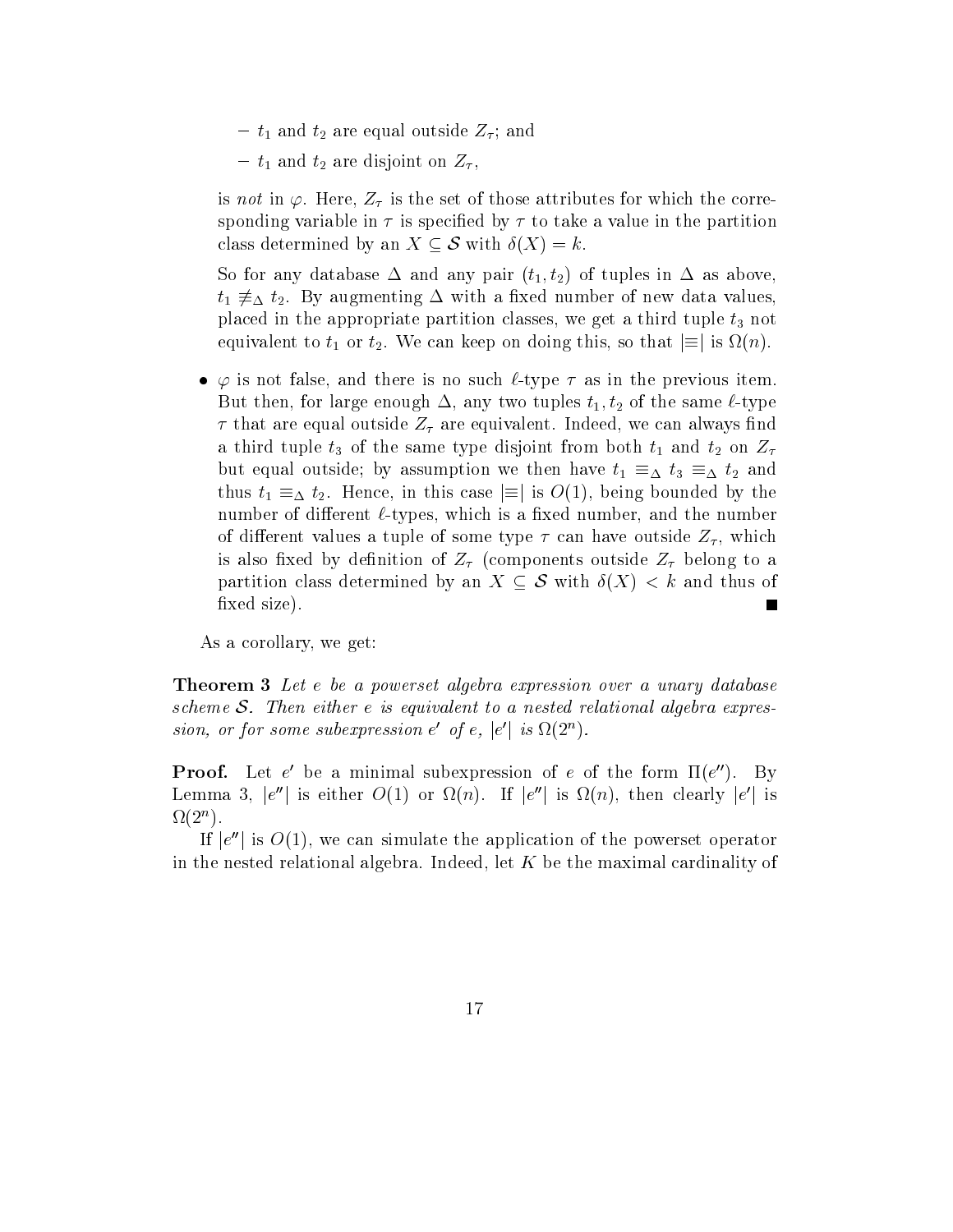-  $t_1$  and  $t_2$  are equal outside  $Z_\tau$ ; and

 $t_1$  and  $t_2$  are disjoint on  $Z_{\tau}$ ,

is not in  $\mathbf{F}$  is the set of the set of the correction the correction the corrections for which the correction of the corrections of the corrections of the corrections of the corrections of the corrections of the corr sponding variable in  $\tau$  is specified by  $\tau$  to take a value in the partition class determined by an  $X \subseteq S$  with  $\delta(X) = k$ .

So for any database  $\Delta$  and any pair  $(t_1, t_2)$  of tuples in  $\Delta$  as above,  $\alpha$  and  $\alpha$  and  $\alpha$  are  $\alpha$  in  $\alpha$  and  $\alpha$  and  $\alpha$  and  $\alpha$  and  $\alpha$  and  $\alpha$  and  $\alpha$  and  $\alpha$  and  $\alpha$  and  $\alpha$  and  $\alpha$  and  $\alpha$  and  $\alpha$  and  $\alpha$  and  $\alpha$  and  $\alpha$  and  $\alpha$  and  $\alpha$  and  $\alpha$  and  $\alpha$  and  $\alpha$  a placed in the appropriate partition classes- we get <sup>a</sup> third tuple t not equivalent to the this-term can keep on doing the can keep on the this-term in the source of the source of the

is and there is no such the previous in the previous items in the previous interest and the previous in the pr But then- for large enough - any two tuples t t of the same type that are equal outside  $\alpha$  are equal outside  $\alpha$ a third tuple  $t_3$  of the same type disjoint from both  $t_1$  and  $t_2$  on  $Z_{\tau}$ but equal outside by and the property of the theory of the  $\Delta$  and  $\Delta$  and  $\Delta$ t Hence-III this case is one of the bounded by the bounded by the bounded by the bounded by the bounded by the bounded by the bounded by the bounded by the bounded by the bounded by the bounded by the bounded by the bounde number of dierent types-dierent types- which is a xed number-types-dierent typesof dierent values <sup>a</sup> tuple of some type  can have outside Z - which is also fixed by definition of  $Z_{\tau}$  (components outside  $Z_{\tau}$  belong to a partition class determined by an X  $\sim$  with  $\sim$  with  $\sim$  and  $\sim$   $\sim$   $\sim$   $\sim$   $\sim$   $\sim$ fixed size).

 $\mathcal{A}$  and  $\mathcal{A}$  are getting to  $\mathcal{A}$  and  $\mathcal{A}$  and  $\mathcal{A}$  are getting to  $\mathcal{A}$ 

**Theorem 3** Let e be a powerset algebra expression over a unary database scheme S. Then either  $e$  is equivalent to a nested relational algebra expression, or for some subexpression  $e'$  of  $e$ ,  $|e'|$  is  $\Omega(2^n)$ .

**Proof.** Let e' be a minimal subexpression of e of the form  $\Pi(e'')$ . By Lemma 3,  $|e''|$  is either  $O(1)$  or  $\Omega(n)$ . If  $|e''|$  is  $\Omega(n)$ , then clearly  $|e'|$  is  $\Delta Z(Z^{\prime\prime})$ .

If  $|e''|$  is  $O(1)$ , we can simulate the application of the powerset operator in the nested relational algebra  $\mathbf{I}$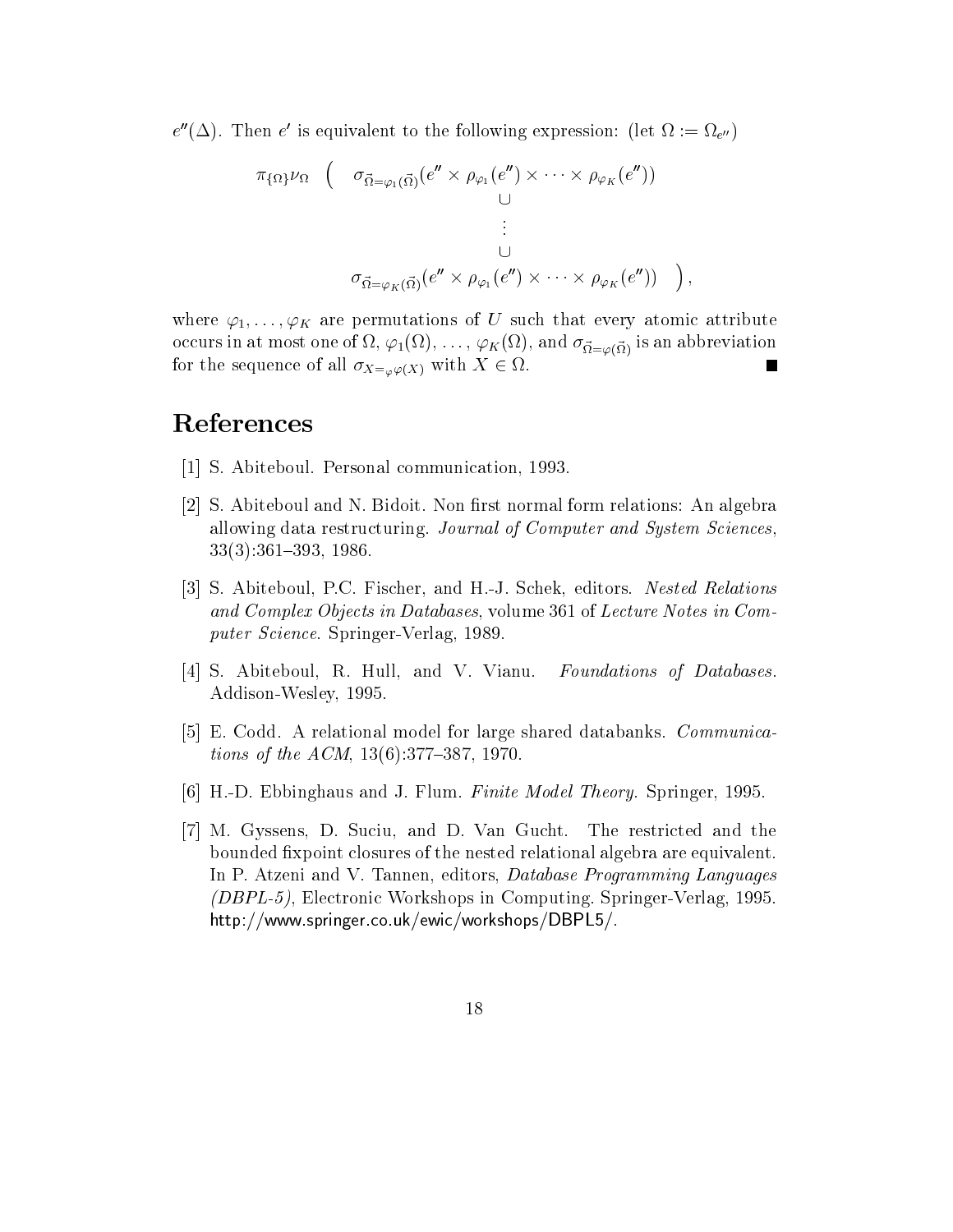$e''(\Delta)$ . Then  $e'$  is equivalent to the following expression: (let  $\Omega := \Omega_{e''}$ )

$$
\pi_{\{\Omega\}}\nu_{\Omega} \quad \left( \quad \sigma_{\vec{\Omega}=\varphi_{1}(\vec{\Omega})}(e'' \times \rho_{\varphi_{1}}(e'') \times \cdots \times \rho_{\varphi_{K}}(e'')) \right) \n\vdots \n\sigma_{\vec{\Omega}=\varphi_{K}(\vec{\Omega})}(e'' \times \rho_{\varphi_{1}}(e'') \times \cdots \times \rho_{\varphi_{K}}(e'')) \right),
$$

where  $\varphi_1, \ldots, \varphi_K$  are permutations of U such that every atomic attribute occurs in at most one of  $\mathcal{F}$  ,  $\mathcal{F}$  ,  $\mathcal{F}$  ,  $\mathcal{F}$  ,  $\mathcal{F}$  ,  $\mathcal{F}$  ,  $\mathcal{F}$  ,  $\mathcal{F}$  ,  $\mathcal{F}$  ,  $\mathcal{F}$  ,  $\mathcal{F}$  ,  $\mathcal{F}$  ,  $\mathcal{F}$  ,  $\mathcal{F}$  ,  $\mathcal{F}$  ,  $\mathcal{F}$  ,  $\mathcal{F}$  ,  $\mathcal{F}$  for the sequence of  $\Delta t = \omega \psi(\Delta t)$  and  $\delta t = \omega \psi(\Delta t)$ 

## References

- s abitection personal communication-
- [2] S. Abiteboul and N. Bidoit. Non first normal form relations: An algebra allowing data restructuring. Journal of Computer and System Sciences, -
- S Abiteboul- PC Fischer- and HJ Schek- editors Nested Relations and Complex Objects in Databases- volume  $\Gamma$ puter Science Springer (Springer Service)
- s and the set of the set of the set of the set of the set of the set of the set of the set of the set of the s Foundations of Databases. AddisonWesley-
- [5] E. Codd. A relational model for large shared databanks. *Communica*tions of the ACM-contract of the ACM-contract of the ACM-contract of the ACM-contract of the ACM-contract of the ACM-
- HD Ebbinghaus and J Flum Finite Model Theory Springer-
- M Gyssens- D Suciu- and D Van Gucht The restricted and the bounded fixpoint closures of the nested relational algebra are equivalent. In P Atzeni and V Tannen- editors- Database Programming Languages  $\mathcal{L} = \mathcal{L} = \mathcal{L}$  , and the computing Springer SpringerVerlage-Verlage-Verlage-Verlage-Verlage-Verlage-Verlage-Verlage-Verlage-Verlage-Verlage-Verlage-Verlage-Verlage-Verlage-Verlage-Verlage-Verlage-Verlage-Verlage-V https://www.ep.co.gov.co-energy-co-energy-partnergy-co-energy-